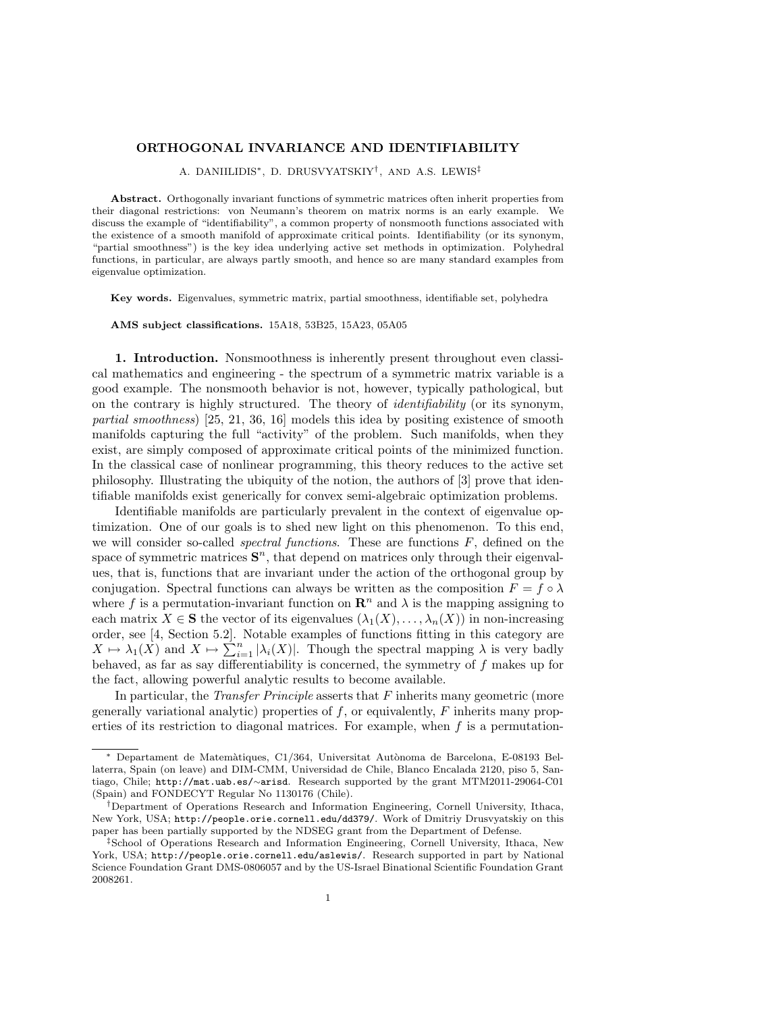## ORTHOGONAL INVARIANCE AND IDENTIFIABILITY

A. DANIILIDIS∗, D. DRUSVYATSKIY† , AND A.S. LEWIS‡

Abstract. Orthogonally invariant functions of symmetric matrices often inherit properties from their diagonal restrictions: von Neumann's theorem on matrix norms is an early example. We discuss the example of "identifiability", a common property of nonsmooth functions associated with the existence of a smooth manifold of approximate critical points. Identifiability (or its synonym, "partial smoothness") is the key idea underlying active set methods in optimization. Polyhedral functions, in particular, are always partly smooth, and hence so are many standard examples from eigenvalue optimization.

Key words. Eigenvalues, symmetric matrix, partial smoothness, identifiable set, polyhedra

AMS subject classifications. 15A18, 53B25, 15A23, 05A05

1. Introduction. Nonsmoothness is inherently present throughout even classical mathematics and engineering - the spectrum of a symmetric matrix variable is a good example. The nonsmooth behavior is not, however, typically pathological, but on the contrary is highly structured. The theory of identifiability (or its synonym, partial smoothness) [25, 21, 36, 16] models this idea by positing existence of smooth manifolds capturing the full "activity" of the problem. Such manifolds, when they exist, are simply composed of approximate critical points of the minimized function. In the classical case of nonlinear programming, this theory reduces to the active set philosophy. Illustrating the ubiquity of the notion, the authors of [3] prove that identifiable manifolds exist generically for convex semi-algebraic optimization problems.

Identifiable manifolds are particularly prevalent in the context of eigenvalue optimization. One of our goals is to shed new light on this phenomenon. To this end, we will consider so-called *spectral functions*. These are functions  $F$ , defined on the space of symmetric matrices  $S<sup>n</sup>$ , that depend on matrices only through their eigenvalues, that is, functions that are invariant under the action of the orthogonal group by conjugation. Spectral functions can always be written as the composition  $F = f \circ \lambda$ where f is a permutation-invariant function on  $\mathbb{R}^n$  and  $\lambda$  is the mapping assigning to each matrix  $X \in \mathbf{S}$  the vector of its eigenvalues  $(\lambda_1(X), \ldots, \lambda_n(X))$  in non-increasing order, see [4, Section 5.2]. Notable examples of functions fitting in this category are  $X \mapsto \lambda_1(X)$  and  $X \mapsto \sum_{i=1}^n |\lambda_i(X)|$ . Though the spectral mapping  $\lambda$  is very badly behaved, as far as say differentiability is concerned, the symmetry of f makes up for the fact, allowing powerful analytic results to become available.

In particular, the *Transfer Principle* asserts that  $F$  inherits many geometric (more generally variational analytic) properties of  $f$ , or equivalently,  $F$  inherits many properties of its restriction to diagonal matrices. For example, when  $f$  is a permutation-

<sup>∗</sup> Departament de Matem`atiques, C1/364, Universitat Aut`onoma de Barcelona, E-08193 Bellaterra, Spain (on leave) and DIM-CMM, Universidad de Chile, Blanco Encalada 2120, piso 5, Santiago, Chile; http://mat.uab.es/∼arisd. Research supported by the grant MTM2011-29064-C01 (Spain) and FONDECYT Regular No 1130176 (Chile).

<sup>†</sup>Department of Operations Research and Information Engineering, Cornell University, Ithaca, New York, USA; http://people.orie.cornell.edu/dd379/. Work of Dmitriy Drusvyatskiy on this paper has been partially supported by the NDSEG grant from the Department of Defense.

<sup>‡</sup>School of Operations Research and Information Engineering, Cornell University, Ithaca, New York, USA; http://people.orie.cornell.edu/aslewis/. Research supported in part by National Science Foundation Grant DMS-0806057 and by the US-Israel Binational Scientific Foundation Grant 2008261.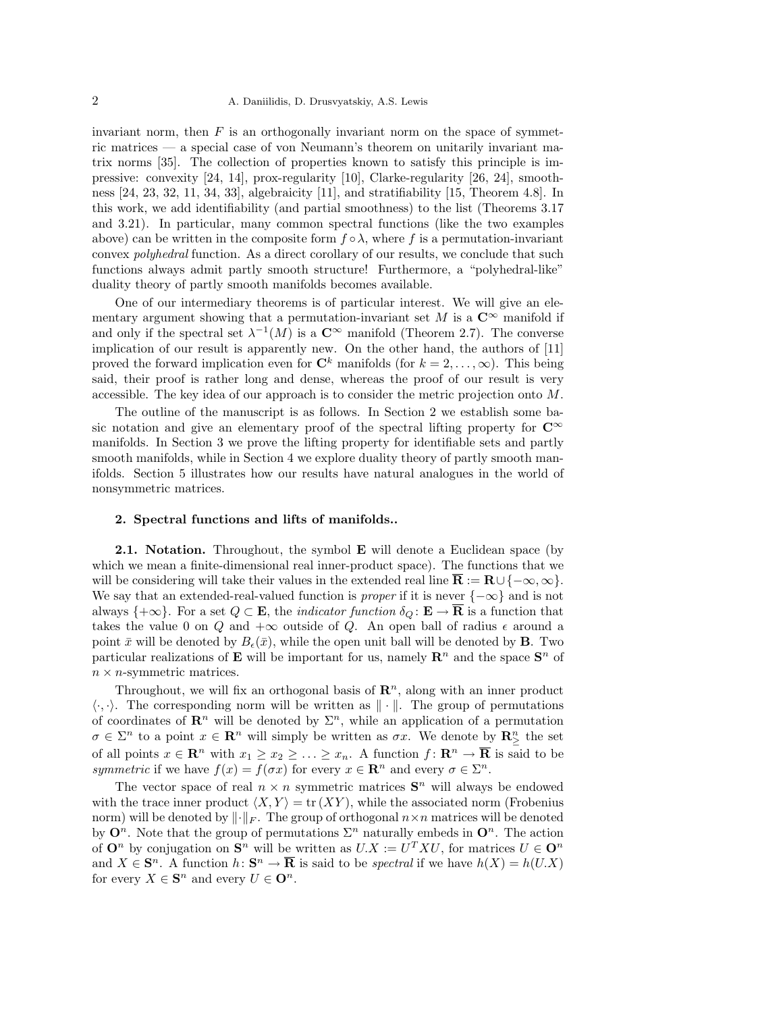invariant norm, then  $F$  is an orthogonally invariant norm on the space of symmetric matrices — a special case of von Neumann's theorem on unitarily invariant matrix norms [35]. The collection of properties known to satisfy this principle is impressive: convexity [24, 14], prox-regularity [10], Clarke-regularity [26, 24], smoothness [24, 23, 32, 11, 34, 33], algebraicity [11], and stratifiability [15, Theorem 4.8]. In this work, we add identifiability (and partial smoothness) to the list (Theorems 3.17 and 3.21). In particular, many common spectral functions (like the two examples above) can be written in the composite form  $f \circ \lambda$ , where f is a permutation-invariant convex polyhedral function. As a direct corollary of our results, we conclude that such functions always admit partly smooth structure! Furthermore, a "polyhedral-like" duality theory of partly smooth manifolds becomes available.

One of our intermediary theorems is of particular interest. We will give an elementary argument showing that a permutation-invariant set M is a  $\mathbb{C}^{\infty}$  manifold if and only if the spectral set  $\lambda^{-1}(M)$  is a  $\mathbb{C}^{\infty}$  manifold (Theorem 2.7). The converse implication of our result is apparently new. On the other hand, the authors of [11] proved the forward implication even for  $\mathbb{C}^k$  manifolds (for  $k = 2, \ldots, \infty$ ). This being said, their proof is rather long and dense, whereas the proof of our result is very accessible. The key idea of our approach is to consider the metric projection onto M.

The outline of the manuscript is as follows. In Section 2 we establish some basic notation and give an elementary proof of the spectral lifting property for  $\mathbb{C}^{\infty}$ manifolds. In Section 3 we prove the lifting property for identifiable sets and partly smooth manifolds, while in Section 4 we explore duality theory of partly smooth manifolds. Section 5 illustrates how our results have natural analogues in the world of nonsymmetric matrices.

## 2. Spectral functions and lifts of manifolds..

2.1. Notation. Throughout, the symbol **E** will denote a Euclidean space (by which we mean a finite-dimensional real inner-product space). The functions that we will be considering will take their values in the extended real line  $\mathbf{R} := \mathbf{R} \cup \{-\infty, \infty\}$ . We say that an extended-real-valued function is *proper* if it is never  $\{-\infty\}$  and is not always  $\{+\infty\}$ . For a set  $Q \subset \mathbf{E}$ , the *indicator function*  $\delta_Q : \mathbf{E} \to \mathbf{\overline{R}}$  is a function that takes the value 0 on Q and  $+\infty$  outside of Q. An open ball of radius  $\epsilon$  around a point  $\bar{x}$  will be denoted by  $B_{\epsilon}(\bar{x})$ , while the open unit ball will be denoted by **B**. Two particular realizations of **E** will be important for us, namely  $\mathbb{R}^n$  and the space  $\mathbb{S}^n$  of  $n \times n$ -symmetric matrices.

Throughout, we will fix an orthogonal basis of  $\mathbb{R}^n$ , along with an inner product  $\langle \cdot, \cdot \rangle$ . The corresponding norm will be written as  $\|\cdot\|$ . The group of permutations of coordinates of  $\mathbb{R}^n$  will be denoted by  $\Sigma^n$ , while an application of a permutation  $\sigma \in \Sigma^n$  to a point  $x \in \mathbb{R}^n$  will simply be written as  $\sigma x$ . We denote by  $\mathbb{R}^n_{\geq}$  the set of all points  $x \in \mathbb{R}^n$  with  $x_1 \ge x_2 \ge \ldots \ge x_n$ . A function  $f: \mathbb{R}^n \to \overline{\mathbb{R}}$  is said to be symmetric if we have  $f(x) = f(\sigma x)$  for every  $x \in \mathbb{R}^n$  and every  $\sigma \in \Sigma^n$ .

The vector space of real  $n \times n$  symmetric matrices  $S<sup>n</sup>$  will always be endowed with the trace inner product  $\langle X, Y \rangle = \text{tr}(XY)$ , while the associated norm (Frobenius norm) will be denoted by  $\lVert \cdot \rVert_F$ . The group of orthogonal  $n \times n$  matrices will be denoted by  $\mathbf{O}^n$ . Note that the group of permutations  $\Sigma^n$  naturally embeds in  $\mathbf{O}^n$ . The action of  $\mathbf{O}^n$  by conjugation on  $\mathbf{S}^n$  will be written as  $U.X := U^T X U$ , for matrices  $U \in \mathbf{O}^n$ and  $X \in \mathbf{S}^n$ . A function  $h: \mathbf{S}^n \to \overline{\mathbf{R}}$  is said to be spectral if we have  $h(X) = h(U,X)$ for every  $X \in \mathbf{S}^n$  and every  $U \in \mathbf{O}^n$ .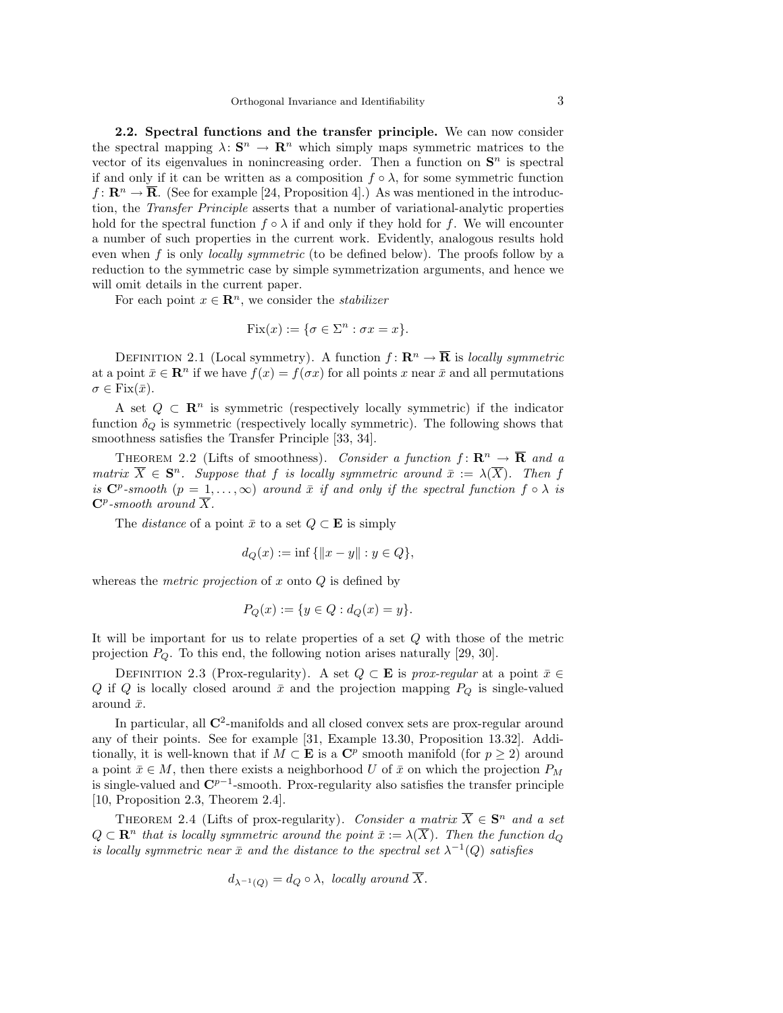2.2. Spectral functions and the transfer principle. We can now consider the spectral mapping  $\lambda: \mathbf{S}^n \to \mathbf{R}^n$  which simply maps symmetric matrices to the vector of its eigenvalues in nonincreasing order. Then a function on  $S<sup>n</sup>$  is spectral if and only if it can be written as a composition  $f \circ \lambda$ , for some symmetric function  $f: \mathbb{R}^n \to \mathbb{R}$ . (See for example [24, Proposition 4].) As was mentioned in the introduction, the Transfer Principle asserts that a number of variational-analytic properties hold for the spectral function  $f \circ \lambda$  if and only if they hold for f. We will encounter a number of such properties in the current work. Evidently, analogous results hold even when  $f$  is only *locally symmetric* (to be defined below). The proofs follow by a reduction to the symmetric case by simple symmetrization arguments, and hence we will omit details in the current paper.

For each point  $x \in \mathbb{R}^n$ , we consider the *stabilizer* 

$$
Fix(x) := \{\sigma \in \Sigma^n : \sigma x = x\}.
$$

DEFINITION 2.1 (Local symmetry). A function  $f: \mathbb{R}^n \to \overline{\mathbb{R}}$  is locally symmetric at a point  $\bar{x} \in \mathbb{R}^n$  if we have  $f(x) = f(\sigma x)$  for all points x near  $\bar{x}$  and all permutations  $\sigma \in \text{Fix}(\bar{x}).$ 

A set  $Q \subset \mathbb{R}^n$  is symmetric (respectively locally symmetric) if the indicator function  $\delta_Q$  is symmetric (respectively locally symmetric). The following shows that smoothness satisfies the Transfer Principle [33, 34].

THEOREM 2.2 (Lifts of smoothness). Consider a function  $f: \mathbf{R}^n \to \overline{\mathbf{R}}$  and a matrix  $\overline{X} \in \mathbf{S}^n$ . Suppose that f is locally symmetric around  $\overline{x} := \lambda(\overline{X})$ . Then f is  $\mathbb{C}^p$ -smooth  $(p = 1, \ldots, \infty)$  around  $\bar{x}$  if and only if the spectral function  $f \circ \lambda$  is  $\mathbf{C}^p$ -smooth around  $\overline{X}$ .

The *distance* of a point  $\bar{x}$  to a set  $Q \subset \mathbf{E}$  is simply

$$
d_Q(x) := \inf \{ ||x - y|| : y \in Q \},\
$$

whereas the *metric projection* of  $x$  onto  $Q$  is defined by

$$
P_Q(x) := \{ y \in Q : d_Q(x) = y \}.
$$

It will be important for us to relate properties of a set Q with those of the metric projection  $P_Q$ . To this end, the following notion arises naturally [29, 30].

DEFINITION 2.3 (Prox-regularity). A set  $Q \subset \mathbf{E}$  is prox-regular at a point  $\bar{x} \in$ Q if Q is locally closed around  $\bar{x}$  and the projection mapping  $P_Q$  is single-valued around  $\bar{x}$ .

In particular, all  $\mathbb{C}^2$ -manifolds and all closed convex sets are prox-regular around any of their points. See for example [31, Example 13.30, Proposition 13.32]. Additionally, it is well-known that if  $M \subset \mathbf{E}$  is a  $\mathbf{C}^p$  smooth manifold (for  $p \geq 2$ ) around a point  $\bar{x} \in M$ , then there exists a neighborhood U of  $\bar{x}$  on which the projection  $P_M$ is single-valued and  $\mathbb{C}^{p-1}$ -smooth. Prox-regularity also satisfies the transfer principle [10, Proposition 2.3, Theorem 2.4].

THEOREM 2.4 (Lifts of prox-regularity). Consider a matrix  $\overline{X} \in \mathbf{S}^n$  and a set  $Q \subset \mathbf{R}^n$  that is locally symmetric around the point  $\bar{x} := \lambda(\overline{X})$ . Then the function  $d_Q$ is locally symmetric near  $\bar{x}$  and the distance to the spectral set  $\lambda^{-1}(Q)$  satisfies

$$
d_{\lambda^{-1}(Q)} = d_Q \circ \lambda
$$
, locally around  $\overline{X}$ .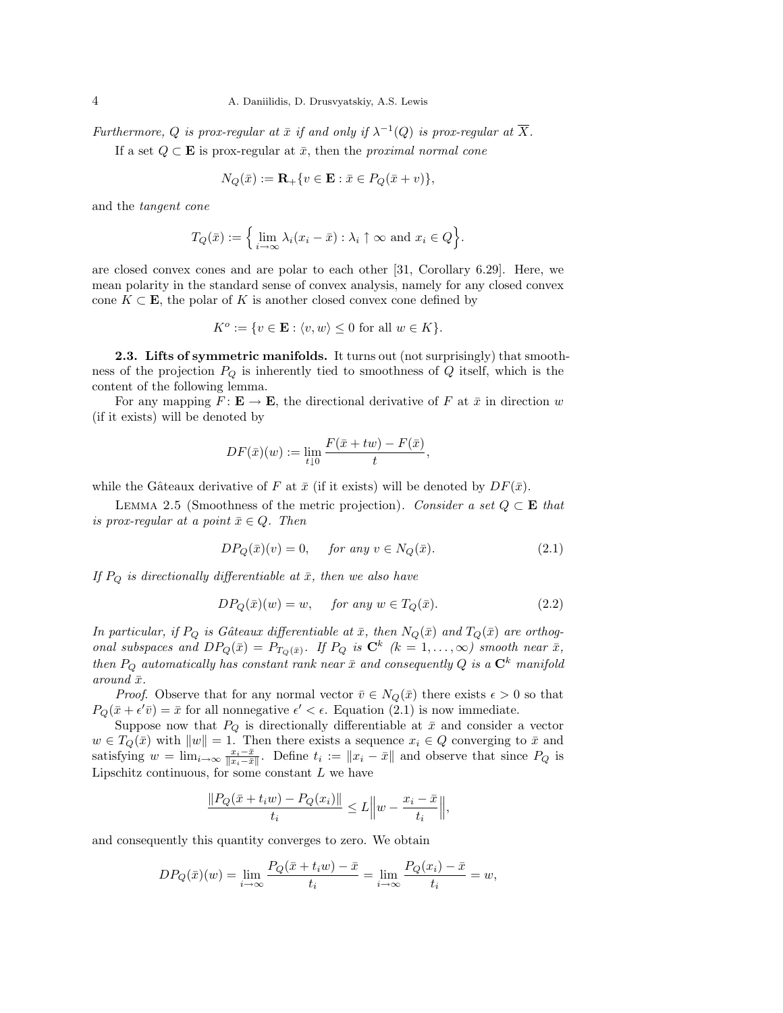Furthermore, Q is prox-regular at  $\bar{x}$  if and only if  $\lambda^{-1}(Q)$  is prox-regular at  $\overline{X}$ .

If a set  $Q \subset \mathbf{E}$  is prox-regular at  $\bar{x}$ , then the proximal normal cone

$$
N_Q(\bar{x}) := \mathbf{R}_+ \{ v \in \mathbf{E} : \bar{x} \in P_Q(\bar{x} + v) \},
$$

and the tangent cone

$$
T_Q(\bar{x}) := \Big\{ \lim_{i \to \infty} \lambda_i (x_i - \bar{x}) : \lambda_i \uparrow \infty \text{ and } x_i \in Q \Big\}.
$$

are closed convex cones and are polar to each other [31, Corollary 6.29]. Here, we mean polarity in the standard sense of convex analysis, namely for any closed convex cone  $K \subset \mathbf{E}$ , the polar of K is another closed convex cone defined by

$$
K^o := \{ v \in \mathbf{E} : \langle v, w \rangle \le 0 \text{ for all } w \in K \}.
$$

2.3. Lifts of symmetric manifolds. It turns out (not surprisingly) that smoothness of the projection  $P_Q$  is inherently tied to smoothness of  $Q$  itself, which is the content of the following lemma.

For any mapping  $F: \mathbf{E} \to \mathbf{E}$ , the directional derivative of F at  $\bar{x}$  in direction w (if it exists) will be denoted by

$$
DF(\bar{x})(w) := \lim_{t \downarrow 0} \frac{F(\bar{x} + tw) - F(\bar{x})}{t},
$$

while the Gâteaux derivative of F at  $\bar{x}$  (if it exists) will be denoted by  $DF(\bar{x})$ .

LEMMA 2.5 (Smoothness of the metric projection). Consider a set  $Q \subset \mathbf{E}$  that is prox-regular at a point  $\bar{x} \in Q$ . Then

$$
DP_Q(\bar{x})(v) = 0, \quad \text{for any } v \in N_Q(\bar{x}). \tag{2.1}
$$

If  $P_Q$  is directionally differentiable at  $\bar{x}$ , then we also have

$$
DP_Q(\bar{x})(w) = w, \quad \text{for any } w \in T_Q(\bar{x}). \tag{2.2}
$$

In particular, if  $P_Q$  is Gâteaux differentiable at  $\bar{x}$ , then  $N_Q(\bar{x})$  and  $T_Q(\bar{x})$  are orthogonal subspaces and  $DP_Q(\bar{x}) = P_{T_Q(\bar{x})}$ . If  $P_Q$  is  $\mathbb{C}^k$   $(k = 1, ..., \infty)$  smooth near  $\bar{x}$ , then  $P_Q$  automatically has constant rank near  $\bar{x}$  and consequently Q is a  $\mathbb{C}^k$  manifold around  $\bar{x}$ .

*Proof.* Observe that for any normal vector  $\bar{v} \in N_Q(\bar{x})$  there exists  $\epsilon > 0$  so that  $P_Q(\bar{x} + \epsilon' \bar{v}) = \bar{x}$  for all nonnegative  $\epsilon' < \epsilon$ . Equation (2.1) is now immediate.

Suppose now that  $P_Q$  is directionally differentiable at  $\bar{x}$  and consider a vector  $w \in T_Q(\bar{x})$  with  $||w|| = 1$ . Then there exists a sequence  $x_i \in Q$  converging to  $\bar{x}$  and satisfying  $w = \lim_{i \to \infty} \frac{x_i - \bar{x}}{\|x_i - \bar{x}\|}$ . Define  $t_i := \|x_i - \bar{x}\|$  and observe that since  $P_Q$  is Lipschitz continuous, for some constant  $L$  we have

$$
\frac{\|P_Q(\bar{x}+t_iw)-P_Q(x_i)\|}{t_i}\leq L\Big\|w-\frac{x_i-\bar{x}}{t_i}\Big\|,
$$

and consequently this quantity converges to zero. We obtain

$$
DP_Q(\bar{x})(w) = \lim_{i \to \infty} \frac{P_Q(\bar{x} + t_i w) - \bar{x}}{t_i} = \lim_{i \to \infty} \frac{P_Q(x_i) - \bar{x}}{t_i} = w,
$$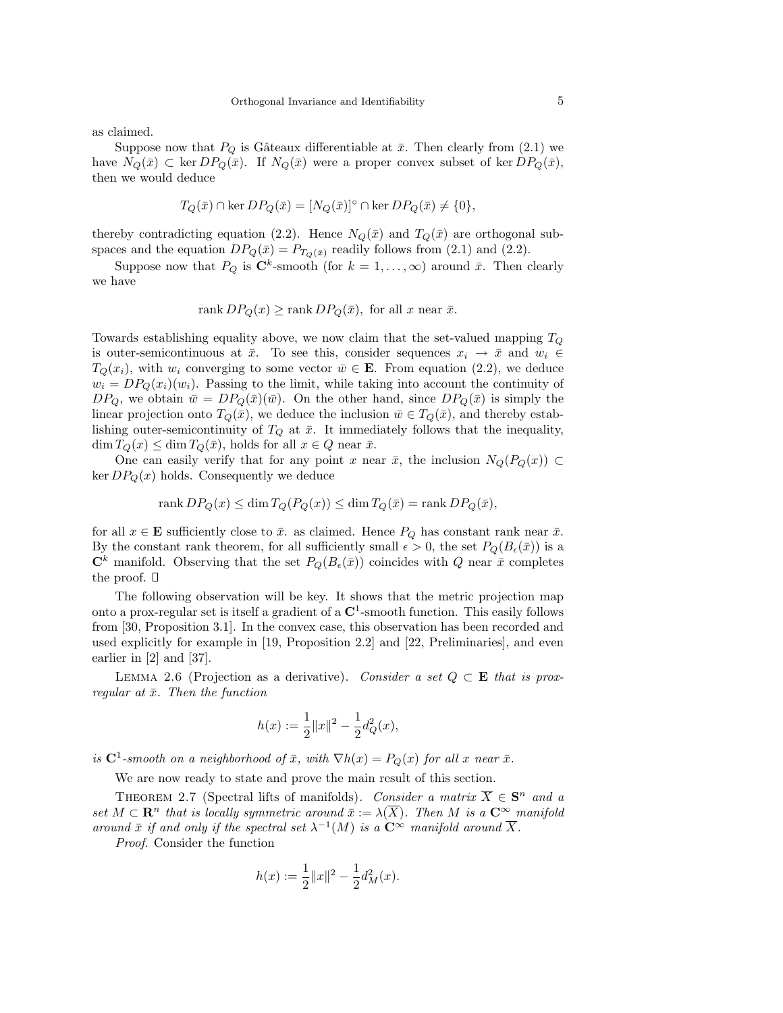as claimed.

Suppose now that  $P_Q$  is Gâteaux differentiable at  $\bar{x}$ . Then clearly from (2.1) we have  $N_Q(\bar{x}) \subset \ker DP_Q(\bar{x})$ . If  $N_Q(\bar{x})$  were a proper convex subset of ker  $DP_Q(\bar{x})$ , then we would deduce

$$
T_Q(\bar{x}) \cap \ker DP_Q(\bar{x}) = [N_Q(\bar{x})]^{\circ} \cap \ker DP_Q(\bar{x}) \neq \{0\}.
$$

thereby contradicting equation (2.2). Hence  $N_Q(\bar{x})$  and  $T_Q(\bar{x})$  are orthogonal subspaces and the equation  $DP_Q(\bar{x}) = P_{T_Q(\bar{x})}$  readily follows from (2.1) and (2.2).

Suppose now that  $P_Q$  is  $\mathbb{C}^k$ -smooth (for  $k = 1, ..., \infty$ ) around  $\bar{x}$ . Then clearly we have

$$
rank DP_Q(x) \ge rank DP_Q(\bar{x}), \text{ for all } x \text{ near } \bar{x}.
$$

Towards establishing equality above, we now claim that the set-valued mapping  $T_Q$ is outer-semicontinuous at  $\bar{x}$ . To see this, consider sequences  $x_i \to \bar{x}$  and  $w_i \in$  $T_Q(x_i)$ , with  $w_i$  converging to some vector  $\bar{w} \in \mathbf{E}$ . From equation (2.2), we deduce  $w_i = DP_Q(x_i)(w_i)$ . Passing to the limit, while taking into account the continuity of  $DP_Q$ , we obtain  $\bar{w} = DP_Q(\bar{x})(\bar{w})$ . On the other hand, since  $DP_Q(\bar{x})$  is simply the linear projection onto  $T_Q(\bar{x})$ , we deduce the inclusion  $\bar{w} \in T_Q(\bar{x})$ , and thereby establishing outer-semicontinuity of  $T_Q$  at  $\bar{x}$ . It immediately follows that the inequality,  $\dim T_Q(x) \leq \dim T_Q(\bar{x})$ , holds for all  $x \in Q$  near  $\bar{x}$ .

One can easily verify that for any point x near  $\bar{x}$ , the inclusion  $N_Q(P_Q(x)) \subset$ ker  $DP_Q(x)$  holds. Consequently we deduce

$$
rank DP_Q(x) \le \dim T_Q(P_Q(x)) \le \dim T_Q(\bar{x}) = rank DP_Q(\bar{x}),
$$

for all  $x \in \mathbf{E}$  sufficiently close to  $\bar{x}$ . as claimed. Hence  $P_Q$  has constant rank near  $\bar{x}$ . By the constant rank theorem, for all sufficiently small  $\epsilon > 0$ , the set  $P_Q(B_{\epsilon}(\bar{x}))$  is a  $\mathbb{C}^k$  manifold. Observing that the set  $P_Q(B_\epsilon(\bar{x}))$  coincides with Q near  $\bar{x}$  completes the proof.  $\square$ 

The following observation will be key. It shows that the metric projection map onto a prox-regular set is itself a gradient of a  $\mathbb{C}^1$ -smooth function. This easily follows from [30, Proposition 3.1]. In the convex case, this observation has been recorded and used explicitly for example in [19, Proposition 2.2] and [22, Preliminaries], and even earlier in [2] and [37].

LEMMA 2.6 (Projection as a derivative). Consider a set  $Q \subset \mathbf{E}$  that is proxregular at  $\bar{x}$ . Then the function

$$
h(x) := \frac{1}{2} ||x||^2 - \frac{1}{2} d_Q^2(x),
$$

is  $C^1$ -smooth on a neighborhood of  $\bar{x}$ , with  $\nabla h(x) = P_Q(x)$  for all x near  $\bar{x}$ .

We are now ready to state and prove the main result of this section.

THEOREM 2.7 (Spectral lifts of manifolds). Consider a matrix  $\overline{X} \in \mathbf{S}^n$  and a set  $M \subset \mathbf{R}^n$  that is locally symmetric around  $\bar{x} := \lambda(\overline{X})$ . Then M is a  $\mathbf{C}^{\infty}$  manifold around  $\bar{x}$  if and only if the spectral set  $\lambda^{-1}(M)$  is a  $\mathbb{C}^{\infty}$  manifold around  $\overline{X}$ .

Proof. Consider the function

$$
h(x):=\frac{1}{2}\|x\|^2-\frac{1}{2}d_M^2(x).
$$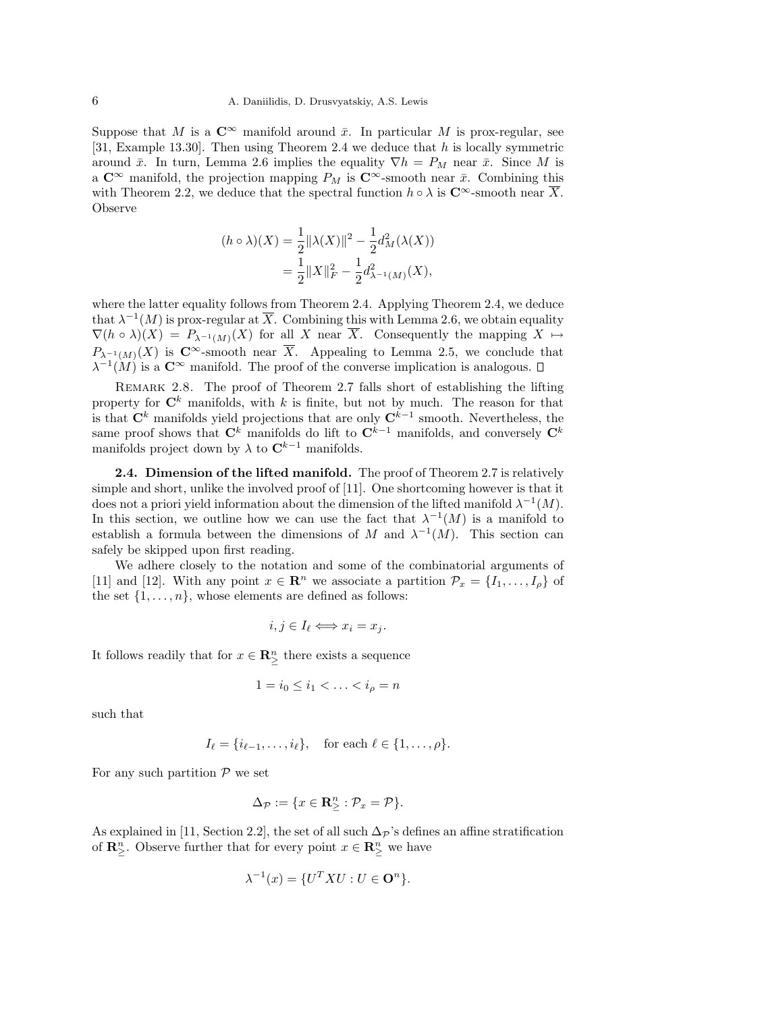Suppose that M is a  $\mathbb{C}^{\infty}$  manifold around  $\bar{x}$ . In particular M is prox-regular, see [31, Example 13.30]. Then using Theorem 2.4 we deduce that h is locally symmetric around  $\bar{x}$ . In turn, Lemma 2.6 implies the equality  $\nabla h = P_M$  near  $\bar{x}$ . Since M is a  $\mathbb{C}^{\infty}$  manifold, the projection mapping  $P_M$  is  $\mathbb{C}^{\infty}$ -smooth near  $\bar{x}$ . Combining this with Theorem 2.2, we deduce that the spectral function  $h \circ \lambda$  is  $\mathbb{C}^{\infty}$ -smooth near X. Observe

$$
(h \circ \lambda)(X) = \frac{1}{2} ||\lambda(X)||^2 - \frac{1}{2} d_M^2(\lambda(X))
$$
  
= 
$$
\frac{1}{2} ||X||_F^2 - \frac{1}{2} d_{\lambda^{-1}(M)}^2(X),
$$

where the latter equality follows from Theorem 2.4. Applying Theorem 2.4, we deduce that  $\lambda^{-1}(M)$  is prox-regular at  $\overline{X}$ . Combining this with Lemma 2.6, we obtain equality  $\nabla(h \circ \lambda)(X) = P_{\lambda^{-1}(M)}(X)$  for all X near  $\overline{X}$ . Consequently the mapping  $X \mapsto$  $P_{\lambda^{-1}(M)}(X)$  is  $\mathbb{C}^{\infty}$ -smooth near  $\overline{X}$ . Appealing to Lemma 2.5, we conclude that  $\lambda^{-1}(M)$  is a  $\mathbb{C}^{\infty}$  manifold. The proof of the converse implication is analogous.

Remark 2.8. The proof of Theorem 2.7 falls short of establishing the lifting property for  $\mathbb{C}^k$  manifolds, with k is finite, but not by much. The reason for that is that  $\mathbf{C}^k$  manifolds yield projections that are only  $\mathbf{C}^{k-1}$  smooth. Nevertheless, the same proof shows that  $\mathbf{C}^k$  manifolds do lift to  $\mathbf{C}^{k-1}$  manifolds, and conversely  $\mathbf{C}^k$ manifolds project down by  $\lambda$  to  $\mathbb{C}^{k-1}$  manifolds.

**2.4. Dimension of the lifted manifold.** The proof of Theorem 2.7 is relatively simple and short, unlike the involved proof of [11]. One shortcoming however is that it does not a priori yield information about the dimension of the lifted manifold  $\lambda^{-1}(M)$ . In this section, we outline how we can use the fact that  $\lambda^{-1}(M)$  is a manifold to establish a formula between the dimensions of M and  $\lambda^{-1}(M)$ . This section can safely be skipped upon first reading.

We adhere closely to the notation and some of the combinatorial arguments of [11] and [12]. With any point  $x \in \mathbb{R}^n$  we associate a partition  $\mathcal{P}_x = \{I_1, \ldots, I_\rho\}$  of the set  $\{1, \ldots, n\}$ , whose elements are defined as follows:

$$
i, j \in I_{\ell} \Longleftrightarrow x_i = x_j.
$$

It follows readily that for  $x \in \mathbb{R}^n_{\geq}$  there exists a sequence

$$
1=i_0\leq i_1<\ldots
$$

such that

$$
I_{\ell} = \{i_{\ell-1}, \ldots, i_{\ell}\}, \text{ for each } \ell \in \{1, \ldots, \rho\}.
$$

For any such partition  $P$  we set

$$
\Delta_{\mathcal{P}} := \{ x \in \mathbf{R}^n_{\geq} : \mathcal{P}_x = \mathcal{P} \}.
$$

As explained in [11, Section 2.2], the set of all such  $\Delta_{\mathcal{P}}$ 's defines an affine stratification of  $\mathbb{R}^n_{\geq}$ . Observe further that for every point  $x \in \mathbb{R}^n_{\geq}$  we have

$$
\lambda^{-1}(x) = \{U^T X U : U \in \mathbf{O}^n\}.
$$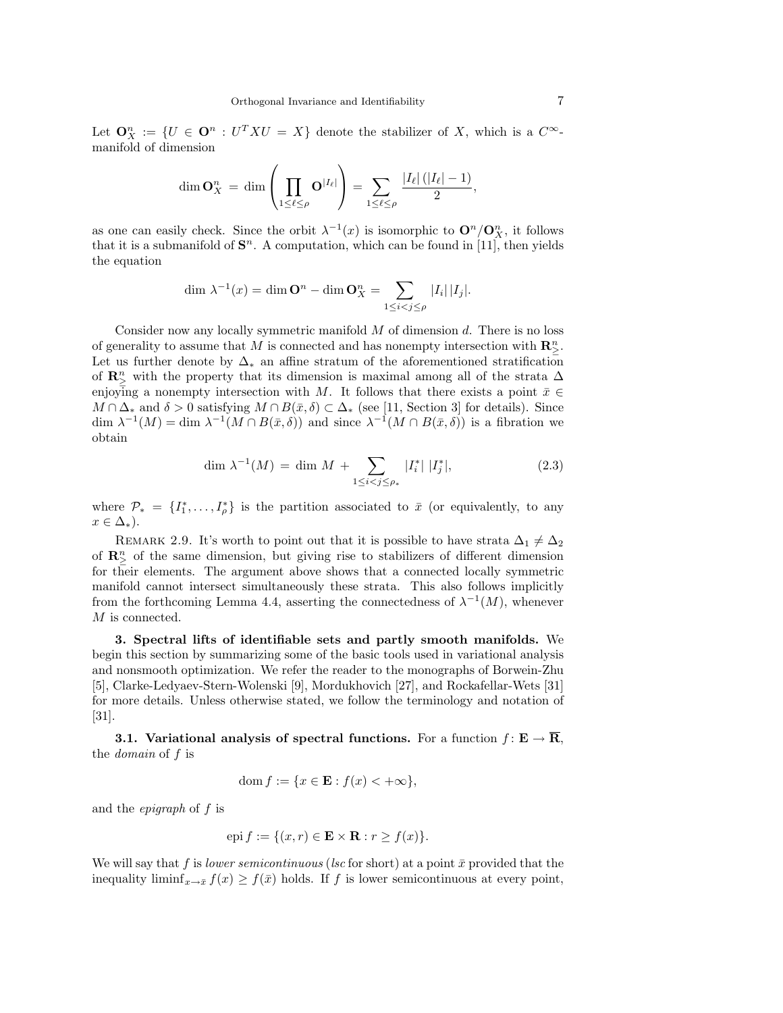Let  $\mathbf{O}_X^n := \{ U \in \mathbf{O}^n : U^T X U = X \}$  denote the stabilizer of X, which is a  $C^{\infty}$ manifold of dimension

$$
\dim \mathbf{O}_X^n = \dim \left( \prod_{1 \leq \ell \leq \rho} \mathbf{O}^{|I_{\ell}|} \right) = \sum_{1 \leq \ell \leq \rho} \frac{|I_{\ell}| (|I_{\ell}| - 1)}{2},
$$

as one can easily check. Since the orbit  $\lambda^{-1}(x)$  is isomorphic to  $\mathbf{O}^n/\mathbf{O}_X^n$ , it follows that it is a submanifold of  $S<sup>n</sup>$ . A computation, which can be found in [11], then yields the equation

$$
\dim \lambda^{-1}(x) = \dim \mathbf{O}^n - \dim \mathbf{O}_X^n = \sum_{1 \leq i < j \leq \rho} |I_i| |I_j|.
$$

Consider now any locally symmetric manifold  $M$  of dimension  $d$ . There is no loss of generality to assume that M is connected and has nonempty intersection with  $\mathbb{R}^n_{\geq}$ . Let us further denote by  $\Delta_*$  an affine stratum of the aforementioned stratification of  $\mathbf{R}_{\geq}^{n}$  with the property that its dimension is maximal among all of the strata  $\Delta$ enjoying a nonempty intersection with M. It follows that there exists a point  $\bar{x} \in$  $M \cap \Delta_*$  and  $\delta > 0$  satisfying  $M \cap B(\bar{x}, \delta) \subset \Delta_*$  (see [11, Section 3] for details). Since dim  $\lambda^{-1}(M) = \dim \lambda^{-1}(M \cap B(\bar{x}, \delta))$  and since  $\lambda^{-1}(M \cap B(\bar{x}, \delta))$  is a fibration we obtain

$$
\dim \lambda^{-1}(M) = \dim M + \sum_{1 \le i < j \le \rho_*} |I_i^*| |I_j^*|,\tag{2.3}
$$

where  $\mathcal{P}_* = \{I_1^*, \ldots, I_{\rho}^*\}$  is the partition associated to  $\bar{x}$  (or equivalently, to any  $x \in \Delta_*$ ).

REMARK 2.9. It's worth to point out that it is possible to have strata  $\Delta_1 \neq \Delta_2$ of  $\mathbb{R}^n_\geq$  of the same dimension, but giving rise to stabilizers of different dimension for their elements. The argument above shows that a connected locally symmetric manifold cannot intersect simultaneously these strata. This also follows implicitly from the forthcoming Lemma 4.4, asserting the connectedness of  $\lambda^{-1}(M)$ , whenever M is connected.

3. Spectral lifts of identifiable sets and partly smooth manifolds. We begin this section by summarizing some of the basic tools used in variational analysis and nonsmooth optimization. We refer the reader to the monographs of Borwein-Zhu [5], Clarke-Ledyaev-Stern-Wolenski [9], Mordukhovich [27], and Rockafellar-Wets [31] for more details. Unless otherwise stated, we follow the terminology and notation of [31].

3.1. Variational analysis of spectral functions. For a function  $f: E \to \overline{R}$ , the *domain* of  $f$  is

$$
\operatorname{dom} f := \{ x \in \mathbf{E} : f(x) < +\infty \},
$$

and the epigraph of f is

$$
epi f := \{(x, r) \in \mathbf{E} \times \mathbf{R} : r \ge f(x)\}.
$$

We will say that f is lower semicontinuous (lsc for short) at a point  $\bar{x}$  provided that the inequality liminf<sub> $x\rightarrow \bar{x}$ </sub>  $f(x) \geq f(\bar{x})$  holds. If f is lower semicontinuous at every point,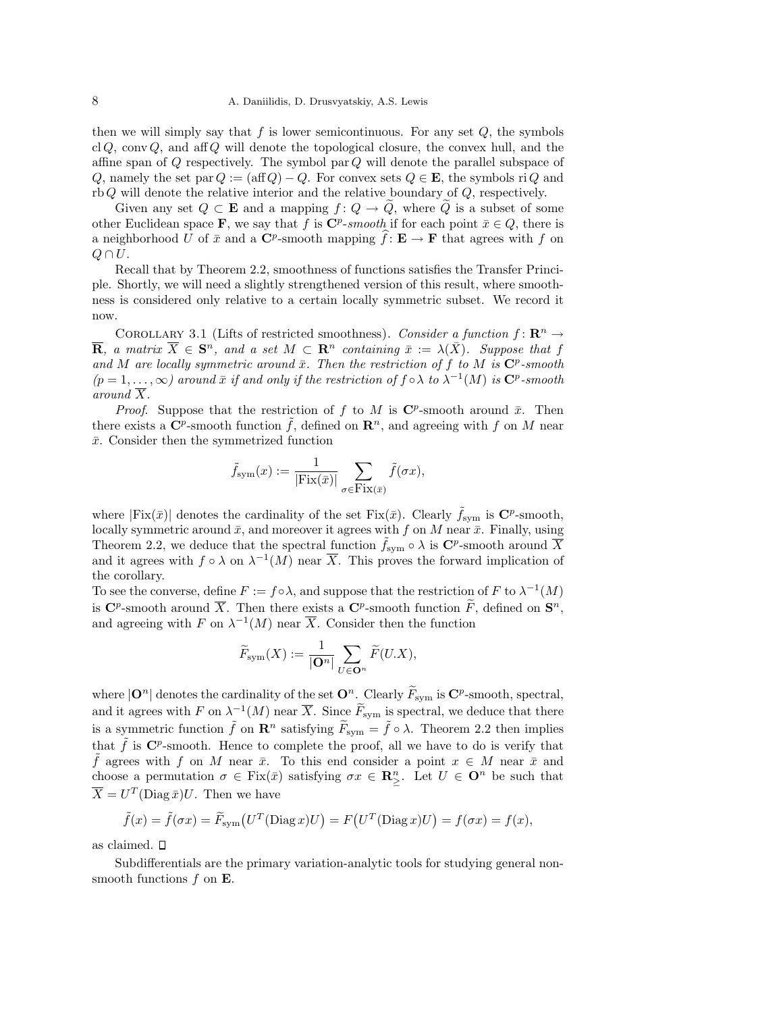then we will simply say that  $f$  is lower semicontinuous. For any set  $Q$ , the symbols cl Q, conv Q, and aff Q will denote the topological closure, the convex hull, and the affine span of  $Q$  respectively. The symbol par  $Q$  will denote the parallel subspace of Q, namely the set par  $Q := (\text{aff } Q) - Q$ . For convex sets  $Q \in \mathbf{E}$ , the symbols ri Q and rb Q will denote the relative interior and the relative boundary of Q, respectively.

Given any set  $Q \subset \mathbf{E}$  and a mapping  $f: Q \to \tilde{Q}$ , where  $\tilde{Q}$  is a subset of some other Euclidean space **F**, we say that f is  $\mathbb{C}^p$ -smooth if for each point  $\bar{x} \in Q$ , there is a neighborhood U of  $\bar{x}$  and a  $\mathbb{C}^p$ -smooth mapping  $\hat{f}: \mathbf{E} \to \mathbf{F}$  that agrees with f on  $Q \cap U$ .

Recall that by Theorem 2.2, smoothness of functions satisfies the Transfer Principle. Shortly, we will need a slightly strengthened version of this result, where smoothness is considered only relative to a certain locally symmetric subset. We record it now.

COROLLARY 3.1 (Lifts of restricted smoothness). Consider a function  $f: \mathbb{R}^n \to$  $\overline{\mathbf{R}}$ , a matrix  $\overline{X} \in \mathbf{S}^n$ , and a set  $M \subset \mathbf{R}^n$  containing  $\overline{x} := \lambda(\overline{X})$ . Suppose that f and M are locally symmetric around  $\bar{x}$ . Then the restriction of f to M is  $\mathbb{C}^p$ -smooth  $(p = 1, \ldots, \infty)$  around  $\bar{x}$  if and only if the restriction of  $f \circ \lambda$  to  $\lambda^{-1}(M)$  is  $\mathbb{C}^p$ -smooth around  $\overline{X}$ .

*Proof.* Suppose that the restriction of f to M is  $\mathbb{C}^p$ -smooth around  $\bar{x}$ . Then there exists a  $\mathbf{C}^p$ -smooth function  $\tilde{f}$ , defined on  $\mathbf{R}^n$ , and agreeing with f on M near  $\bar{x}$ . Consider then the symmetrized function

$$
\tilde{f}_{\text{sym}}(x) := \frac{1}{|\text{Fix}(\bar{x})|} \sum_{\sigma \in \text{Fix}(\bar{x})} \tilde{f}(\sigma x),
$$

where  $|\text{Fix}(\bar{x})|$  denotes the cardinality of the set  $\text{Fix}(\bar{x})$ . Clearly  $\tilde{f}_{\text{sym}}$  is  $\mathbb{C}^p$ -smooth, locally symmetric around  $\bar{x}$ , and moreover it agrees with f on M near  $\bar{x}$ . Finally, using Theorem 2.2, we deduce that the spectral function  $\tilde{f}_{sym} \circ \lambda$  is  $\mathbb{C}^p$ -smooth around  $\overline{X}$ and it agrees with  $f \circ \lambda$  on  $\lambda^{-1}(M)$  near  $\overline{X}$ . This proves the forward implication of the corollary.

To see the converse, define  $F := f \circ \lambda$ , and suppose that the restriction of F to  $\lambda^{-1}(M)$ is  $\mathbf{C}^p$ -smooth around  $\overline{X}$ . Then there exists a  $\mathbf{C}^p$ -smooth function  $\widetilde{F}$ , defined on  $\mathbf{S}^n$ , and agreeing with F on  $\lambda^{-1}(M)$  near  $\overline{X}$ . Consider then the function

$$
\widetilde{F}_{\text{\rm sym}}(X):=\frac{1}{|\mathbf{O}^n|}\sum_{U\in \mathbf{O}^n}\widetilde{F}(U.X),
$$

where  $|\mathbf{O}^n|$  denotes the cardinality of the set  $\mathbf{O}^n$ . Clearly  $\widetilde{F}_{sym}$  is  $\mathbf{C}^p$ -smooth, spectral, and it agrees with F on  $\lambda^{-1}(M)$  near  $\overline{X}$ . Since  $\widetilde{F}_{sym}$  is spectral, we deduce that there is a symmetric function  $\tilde{f}$  on  $\mathbf{R}^n$  satisfying  $\tilde{F}_{sym} = \tilde{f} \circ \lambda$ . Theorem 2.2 then implies that  $\tilde{f}$  is  $\mathbb{C}^p$ -smooth. Hence to complete the proof, all we have to do is verify that f agrees with f on M near  $\bar{x}$ . To this end consider a point  $x \in M$  near  $\bar{x}$  and choose a permutation  $\sigma \in Fix(\bar{x})$  satisfying  $\sigma x \in \mathbb{R}_{\geq}^n$ . Let  $U \in \mathbb{O}^n$  be such that  $\overline{X} = U^T(\text{Diag}\,\overline{x})U.$  Then we have

$$
\tilde{f}(x) = \tilde{f}(\sigma x) = \tilde{F}_{sym}(U^T(\text{Diag }x)U) = F(U^T(\text{Diag }x)U) = f(\sigma x) = f(x),
$$

as claimed.

Subdifferentials are the primary variation-analytic tools for studying general nonsmooth functions  $f$  on  $\mathbf{E}$ .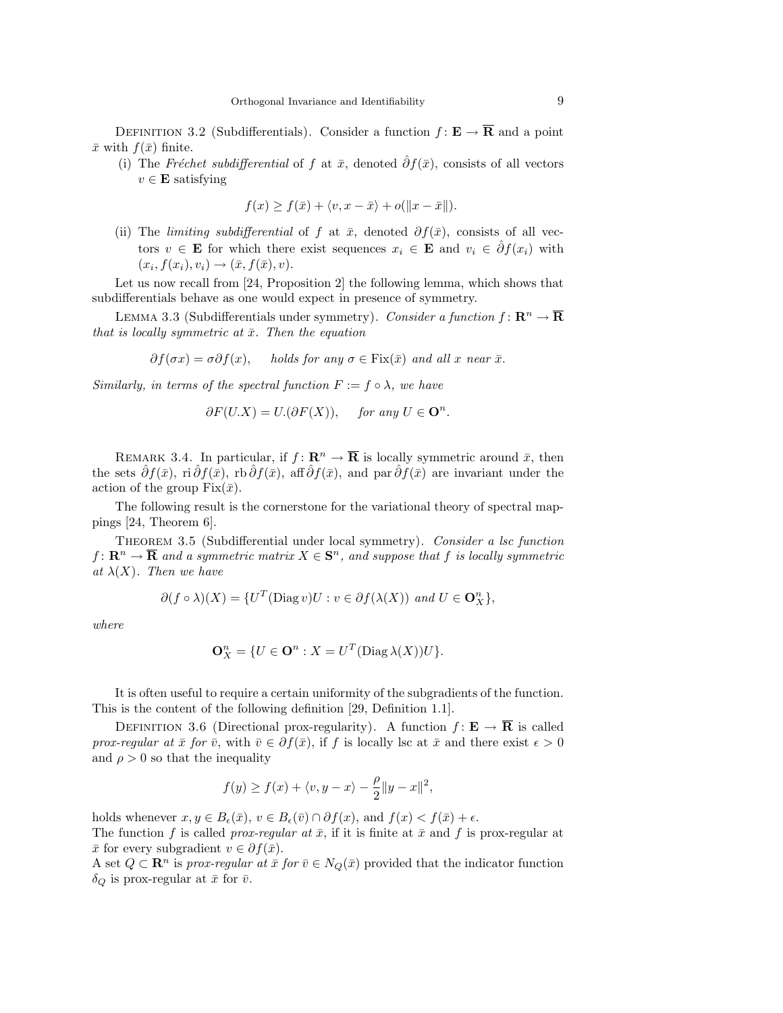DEFINITION 3.2 (Subdifferentials). Consider a function  $f: \mathbf{E} \to \overline{\mathbf{R}}$  and a point  $\bar{x}$  with  $f(\bar{x})$  finite.

(i) The Fréchet subdifferential of f at  $\bar{x}$ , denoted  $\hat{\partial} f(\bar{x})$ , consists of all vectors  $v \in \mathbf{E}$  satisfying

$$
f(x) \ge f(\bar{x}) + \langle v, x - \bar{x} \rangle + o(||x - \bar{x}||).
$$

(ii) The *limiting subdifferential* of f at  $\bar{x}$ , denoted  $\partial f(\bar{x})$ , consists of all vectors  $v \in \mathbf{E}$  for which there exist sequences  $x_i \in \mathbf{E}$  and  $v_i \in \hat{\partial}f(x_i)$  with  $(x_i, f(x_i), v_i) \rightarrow (\bar{x}, f(\bar{x}), v).$ 

Let us now recall from [24, Proposition 2] the following lemma, which shows that subdifferentials behave as one would expect in presence of symmetry.

LEMMA 3.3 (Subdifferentials under symmetry). Consider a function  $f: \mathbb{R}^n \to \overline{\mathbb{R}}$ that is locally symmetric at  $\bar{x}$ . Then the equation

$$
\partial f(\sigma x) = \sigma \partial f(x)
$$
, holds for any  $\sigma \in \text{Fix}(\bar{x})$  and all x near  $\bar{x}$ .

Similarly, in terms of the spectral function  $F := f \circ \lambda$ , we have

$$
\partial F(U.X) = U.(\partial F(X)), \quad \text{for any } U \in \mathbf{O}^n.
$$

REMARK 3.4. In particular, if  $f: \mathbf{R}^n \to \overline{\mathbf{R}}$  is locally symmetric around  $\bar{x}$ , then the sets  $\partial f(\bar{x})$ , ri $\partial f(\bar{x})$ , rb $\partial f(\bar{x})$ , aff $\partial f(\bar{x})$ , and par  $\partial f(\bar{x})$  are invariant under the action of the group  $Fix(\bar{x})$ .

The following result is the cornerstone for the variational theory of spectral mappings [24, Theorem 6].

THEOREM 3.5 (Subdifferential under local symmetry). Consider a lsc function  $f \colon \mathbf{R}^n \to \mathbf{\overline{R}}$  and a symmetric matrix  $X \in \mathbf{S}^n$ , and suppose that f is locally symmetric at  $\lambda(X)$ . Then we have

$$
\partial (f \circ \lambda)(X) = \{U^T(\text{Diag } v)U : v \in \partial f(\lambda(X)) \text{ and } U \in \mathbf{O}_X^n\},\
$$

where

$$
\mathbf{O}_X^n = \{ U \in \mathbf{O}^n : X = U^T(\text{Diag }\lambda(X))U \}.
$$

It is often useful to require a certain uniformity of the subgradients of the function. This is the content of the following definition [29, Definition 1.1].

DEFINITION 3.6 (Directional prox-regularity). A function  $f: E \to \overline{R}$  is called prox-regular at  $\bar{x}$  for  $\bar{v}$ , with  $\bar{v} \in \partial f(\bar{x})$ , if f is locally lsc at  $\bar{x}$  and there exist  $\epsilon > 0$ and  $\rho > 0$  so that the inequality

$$
f(y) \geq f(x) + \langle v, y - x \rangle - \frac{\rho}{2} \|y - x\|^2,
$$

holds whenever  $x, y \in B_{\epsilon}(\bar{x}), v \in B_{\epsilon}(\bar{v}) \cap \partial f(x),$  and  $f(x) < f(\bar{x}) + \epsilon$ . The function f is called *prox-regular at*  $\bar{x}$ , if it is finite at  $\bar{x}$  and f is prox-regular at  $\bar{x}$  for every subgradient  $v \in \partial f(\bar{x})$ .

A set  $Q \subset \mathbb{R}^n$  is prox-regular at  $\bar{x}$  for  $\bar{v} \in N_Q(\bar{x})$  provided that the indicator function  $\delta_Q$  is prox-regular at  $\bar{x}$  for  $\bar{v}$ .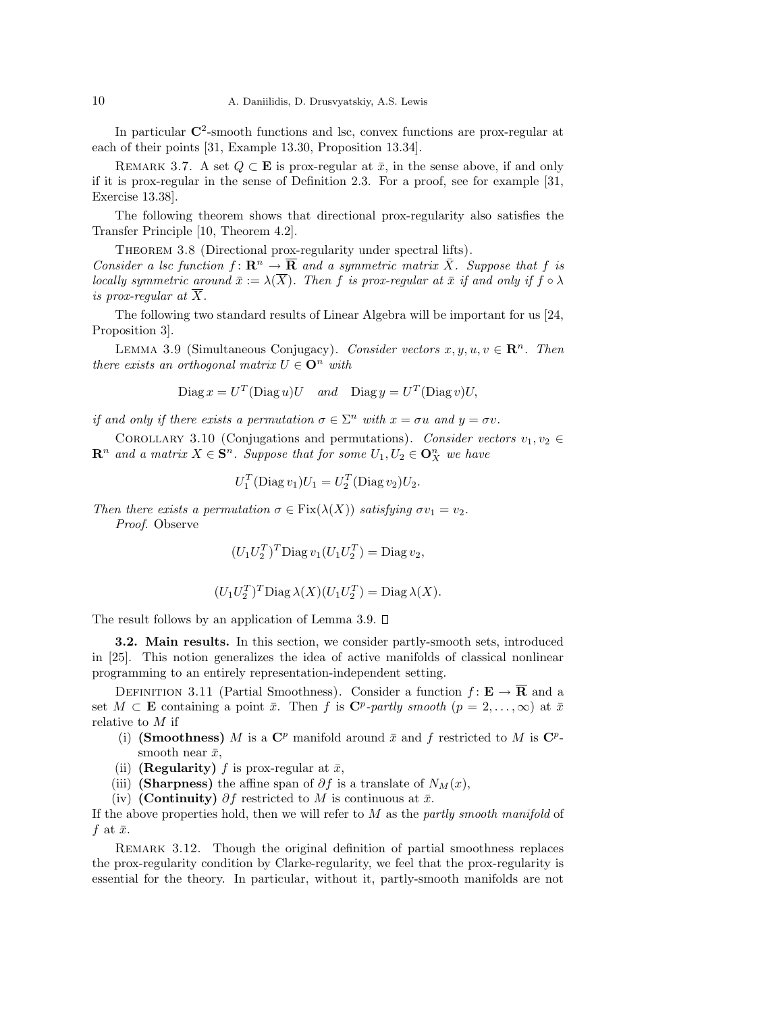In particular  $\mathbb{C}^2$ -smooth functions and lsc, convex functions are prox-regular at each of their points [31, Example 13.30, Proposition 13.34].

REMARK 3.7. A set  $Q \subset \mathbf{E}$  is prox-regular at  $\bar{x}$ , in the sense above, if and only if it is prox-regular in the sense of Definition 2.3. For a proof, see for example [31, Exercise 13.38].

The following theorem shows that directional prox-regularity also satisfies the Transfer Principle [10, Theorem 4.2].

THEOREM 3.8 (Directional prox-regularity under spectral lifts).

Consider a lsc function  $f: \mathbf{R}^n \to \overline{\mathbf{R}}$  and a symmetric matrix  $\overline{X}$ . Suppose that f is locally symmetric around  $\bar{x} := \lambda(\bar{X})$ . Then f is prox-regular at  $\bar{x}$  if and only if  $f \circ \lambda$ is prox-regular at  $\overline{X}$ .

The following two standard results of Linear Algebra will be important for us [24, Proposition 3].

LEMMA 3.9 (Simultaneous Conjugacy). Consider vectors  $x, y, u, v \in \mathbb{R}^n$ . Then there exists an orthogonal matrix  $U \in \mathbf{O}^n$  with

 $\text{Diag } x = U^T(\text{Diag } u)U \quad \text{and} \quad \text{Diag } y = U^T(\text{Diag } v)U,$ 

if and only if there exists a permutation  $\sigma \in \Sigma^n$  with  $x = \sigma u$  and  $y = \sigma v$ .

COROLLARY 3.10 (Conjugations and permutations). Consider vectors  $v_1, v_2 \in$  $\mathbf{R}^n$  and a matrix  $X \in \mathbf{S}^n$ . Suppose that for some  $U_1, U_2 \in \mathbf{O}_X^n$  we have

$$
U_1^T(\text{Diag}\,v_1)U_1 = U_2^T(\text{Diag}\,v_2)U_2.
$$

Then there exists a permutation  $\sigma \in \text{Fix}(\lambda(X))$  satisfying  $\sigma v_1 = v_2$ . Proof. Observe

 $(U_1U_2^T)^T \text{Diag}\, v_1(U_1U_2^T) = \text{Diag}\, v_2,$ 

$$
(U_1U_2^T)^T \text{Diag }\lambda(X)(U_1U_2^T) = \text{Diag }\lambda(X).
$$

The result follows by an application of Lemma 3.9.  $\square$ 

3.2. Main results. In this section, we consider partly-smooth sets, introduced in [25]. This notion generalizes the idea of active manifolds of classical nonlinear programming to an entirely representation-independent setting.

DEFINITION 3.11 (Partial Smoothness). Consider a function  $f: E \to \overline{R}$  and a set  $M \subset \mathbf{E}$  containing a point  $\bar{x}$ . Then f is  $\mathbf{C}^p$ -partly smooth  $(p = 2, \ldots, \infty)$  at  $\bar{x}$ relative to M if

- (i) (Smoothness) M is a  $\mathbb{C}^p$  manifold around  $\bar{x}$  and f restricted to M is  $\mathbb{C}^p$ smooth near  $\bar{x}$ ,
- (ii) (**Regularity**) f is prox-regular at  $\bar{x}$ ,
- (iii) (Sharpness) the affine span of  $\partial f$  is a translate of  $N_M(x)$ ,
- (iv) (Continuity)  $\partial f$  restricted to M is continuous at  $\bar{x}$ .

If the above properties hold, then we will refer to  $M$  as the partly smooth manifold of f at  $\bar{x}$ .

REMARK 3.12. Though the original definition of partial smoothness replaces the prox-regularity condition by Clarke-regularity, we feel that the prox-regularity is essential for the theory. In particular, without it, partly-smooth manifolds are not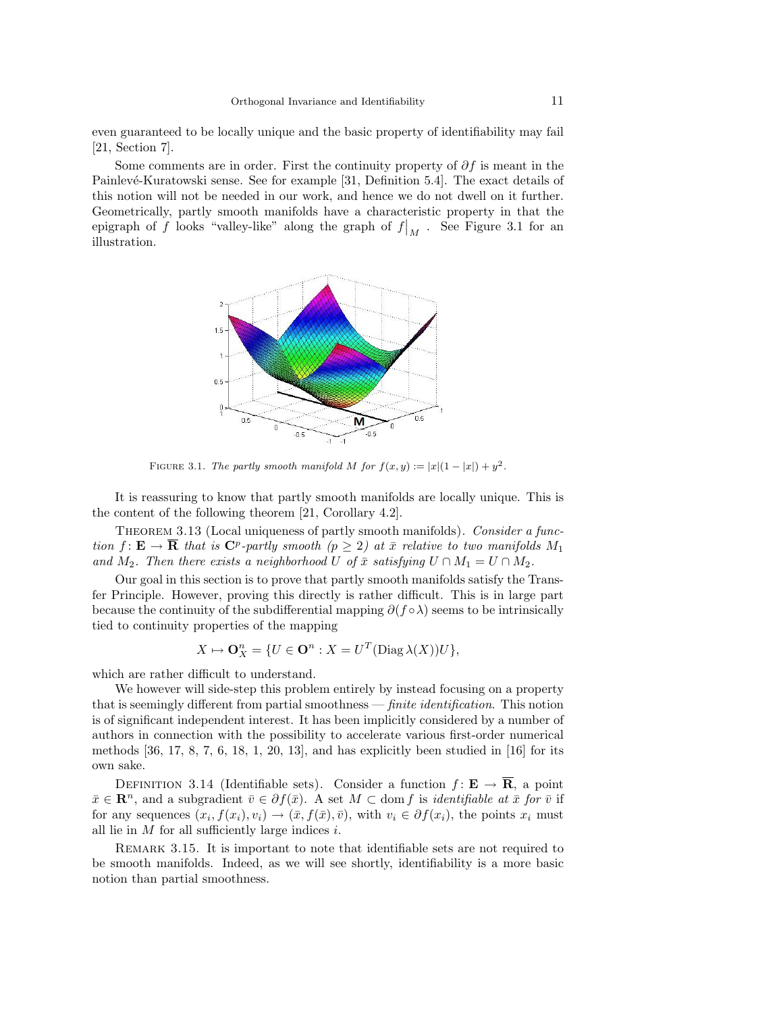even guaranteed to be locally unique and the basic property of identifiability may fail [21, Section 7].

Some comments are in order. First the continuity property of  $\partial f$  is meant in the Painlevé-Kuratowski sense. See for example [31, Definition 5.4]. The exact details of this notion will not be needed in our work, and hence we do not dwell on it further. Geometrically, partly smooth manifolds have a characteristic property in that the epigraph of f looks "valley-like" along the graph of  $f|_M$ . See Figure 3.1 for an illustration.



FIGURE 3.1. The partly smooth manifold M for  $f(x,y) := |x|(1-|x|) + y^2$ .

It is reassuring to know that partly smooth manifolds are locally unique. This is the content of the following theorem [21, Corollary 4.2].

THEOREM 3.13 (Local uniqueness of partly smooth manifolds). Consider a function  $f: \mathbf{E} \to \overline{\mathbf{R}}$  that is  $\mathbf{C}^p$ -partly smooth  $(p \geq 2)$  at  $\overline{x}$  relative to two manifolds  $M_1$ and  $M_2$ . Then there exists a neighborhood U of  $\bar{x}$  satisfying  $U \cap M_1 = U \cap M_2$ .

Our goal in this section is to prove that partly smooth manifolds satisfy the Transfer Principle. However, proving this directly is rather difficult. This is in large part because the continuity of the subdifferential mapping  $\partial (f \circ \lambda)$  seems to be intrinsically tied to continuity properties of the mapping

$$
X \mapsto \mathbf{O}_X^n = \{ U \in \mathbf{O}^n : X = U^T(\text{Diag }\lambda(X))U \},
$$

which are rather difficult to understand.

We however will side-step this problem entirely by instead focusing on a property that is seemingly different from partial smoothness — *finite identification*. This notion is of significant independent interest. It has been implicitly considered by a number of authors in connection with the possibility to accelerate various first-order numerical methods  $[36, 17, 8, 7, 6, 18, 1, 20, 13]$ , and has explicitly been studied in  $[16]$  for its own sake.

DEFINITION 3.14 (Identifiable sets). Consider a function  $f: \mathbf{E} \to \overline{\mathbf{R}}$ , a point  $\bar{x} \in \mathbb{R}^n$ , and a subgradient  $\bar{v} \in \partial f(\bar{x})$ . A set  $M \subset \text{dom } f$  is *identifiable at*  $\bar{x}$  for  $\bar{v}$  if for any sequences  $(x_i, f(x_i), v_i) \to (\bar{x}, f(\bar{x}), \bar{v})$ , with  $v_i \in \partial f(x_i)$ , the points  $x_i$  must all lie in  $M$  for all sufficiently large indices  $i$ .

REMARK 3.15. It is important to note that identifiable sets are not required to be smooth manifolds. Indeed, as we will see shortly, identifiability is a more basic notion than partial smoothness.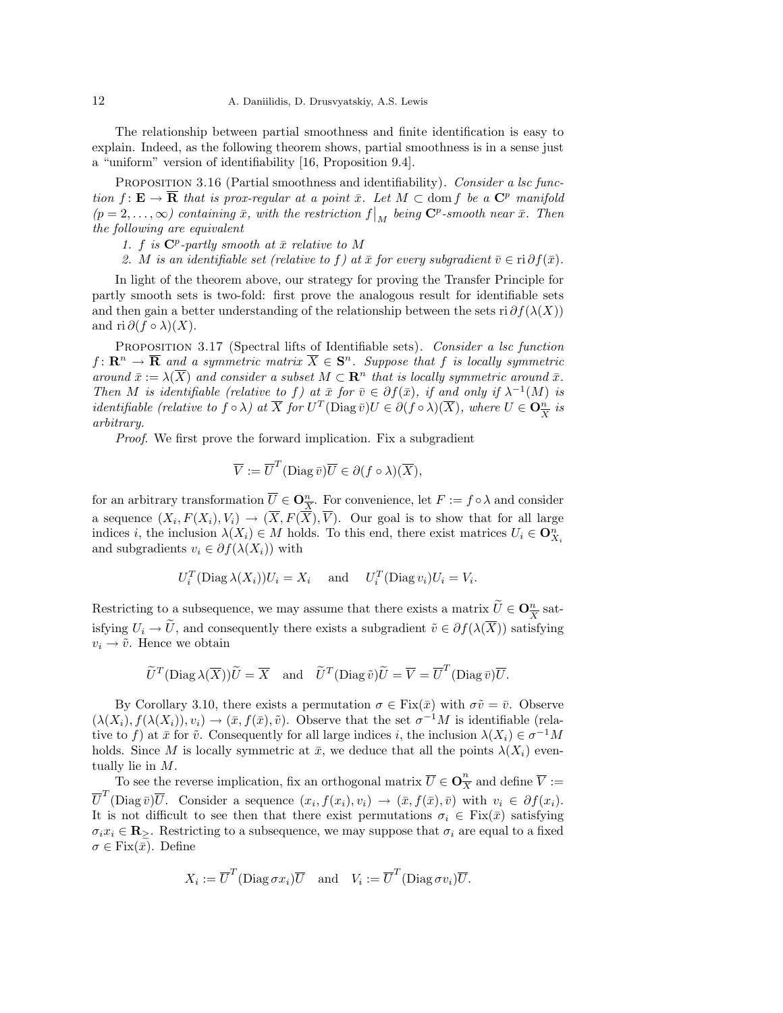The relationship between partial smoothness and finite identification is easy to explain. Indeed, as the following theorem shows, partial smoothness is in a sense just a "uniform" version of identifiability [16, Proposition 9.4].

PROPOSITION 3.16 (Partial smoothness and identifiability). Consider a lsc function  $f: \mathbf{E} \to \overline{\mathbf{R}}$  that is prox-regular at a point  $\bar{x}$ . Let  $M \subset \text{dom } f$  be a  $\mathbf{C}^p$  manifold  $(p=2,\ldots,\infty)$  containing  $\bar{x}$ , with the restriction  $f|_M$  being  $\mathbb{C}^p$ -smooth near  $\bar{x}$ . Then the following are equivalent

1. f is  $\mathbb{C}^p$ -partly smooth at  $\bar{x}$  relative to M

2. M is an identifiable set (relative to f) at  $\bar{x}$  for every subgradient  $\bar{v} \in \text{ri } \partial f(\bar{x})$ .

In light of the theorem above, our strategy for proving the Transfer Principle for partly smooth sets is two-fold: first prove the analogous result for identifiable sets and then gain a better understanding of the relationship between the sets ri  $\partial f(\lambda(X))$ and ri  $\partial (f \circ \lambda)(X)$ .

PROPOSITION 3.17 (Spectral lifts of Identifiable sets). Consider a lsc function  $f\colon \mathbf{R}^n\to \mathbf{\overline{R}}$  and a symmetric matrix  $\overline{X}\in \mathbf{S}^n$ . Suppose that f is locally symmetric around  $\bar{x} := \lambda(\overline{X})$  and consider a subset  $M \subset \mathbb{R}^n$  that is locally symmetric around  $\bar{x}$ . Then M is identifiable (relative to f) at  $\bar{x}$  for  $\bar{v} \in \partial f(\bar{x})$ , if and only if  $\lambda^{-1}(M)$  is *identifiable (relative to f* ◦  $\lambda$ ) at  $\overline{X}$  for  $U^T(\text{Diag}\,\overline{v})U \in \partial (f \circ \lambda)(\overline{X})$ , where  $U \in \mathbf{O}_{\overline{X}}^n$  is arbitrary.

Proof. We first prove the forward implication. Fix a subgradient

$$
\overline{V} := \overline{U}^T (\text{Diag}\,\overline{v})\overline{U} \in \partial (f \circ \lambda)(\overline{X}),
$$

for an arbitrary transformation  $\overline{U} \in \mathbf{O}_{\overline{X}}^n$ . For convenience, let  $F := f \circ \lambda$  and consider a sequence  $(X_i, F(X_i), V_i) \to (\overline{X}, F(\overline{X}), \overline{V})$ . Our goal is to show that for all large indices i, the inclusion  $\lambda(X_i) \in M$  holds. To this end, there exist matrices  $U_i \in \mathbf{O}_{X_i}^n$ and subgradients  $v_i \in \partial f(\lambda(X_i))$  with

$$
U_i^T(\text{Diag }\lambda(X_i))U_i=X_i \quad \text{ and } \quad U_i^T(\text{Diag }v_i)U_i=V_i.
$$

Restricting to a subsequence, we may assume that there exists a matrix  $\widetilde{U} \in \mathbf{O}_{\overline{X}}^{n}$  satisfying  $U_i \to \tilde{U}$ , and consequently there exists a subgradient  $\tilde{v} \in \partial f(\lambda(\overline{X}))$  satisfying  $v_i \rightarrow \tilde{v}$ . Hence we obtain

$$
\widetilde{U}^T(\text{Diag }\lambda(\overline{X}))\widetilde{U} = \overline{X}
$$
 and  $\widetilde{U}^T(\text{Diag }\tilde{v})\widetilde{U} = \overline{V} = \overline{U}^T(\text{Diag }\bar{v})\overline{U}.$ 

By Corollary 3.10, there exists a permutation  $\sigma \in \text{Fix}(\bar{x})$  with  $\sigma \tilde{v} = \bar{v}$ . Observe  $(\lambda(X_i), f(\lambda(X_i)), v_i) \to (\bar{x}, f(\bar{x}), \tilde{v}).$  Observe that the set  $\sigma^{-1}M$  is identifiable (relative to f) at  $\bar{x}$  for  $\tilde{v}$ . Consequently for all large indices i, the inclusion  $\lambda(X_i) \in \sigma^{-1}M$ holds. Since M is locally symmetric at  $\bar{x}$ , we deduce that all the points  $\lambda(X_i)$  eventually lie in M.

To see the reverse implication, fix an orthogonal matrix  $\overline{U} \in \mathbb{O}_{\overline{X}}^{n}$  and define  $\overline{V} :=$  $\overline{U}^T(\text{Diag }\bar{v})\overline{U}$ . Consider a sequence  $(x_i, f(x_i), v_i) \to (\bar{x}, f(\bar{x}), \bar{v})$  with  $v_i \in \partial f(x_i)$ . It is not difficult to see then that there exist permutations  $\sigma_i \in \text{Fix}(\bar{x})$  satisfying  $\sigma_i x_i \in \mathbf{R}$ . Restricting to a subsequence, we may suppose that  $\sigma_i$  are equal to a fixed  $\sigma \in \text{Fix}(\bar{x})$ . Define

$$
X_i := \overline{U}^T(\text{Diag}\,\sigma x_i)\overline{U} \quad \text{and} \quad V_i := \overline{U}^T(\text{Diag}\,\sigma v_i)\overline{U}.
$$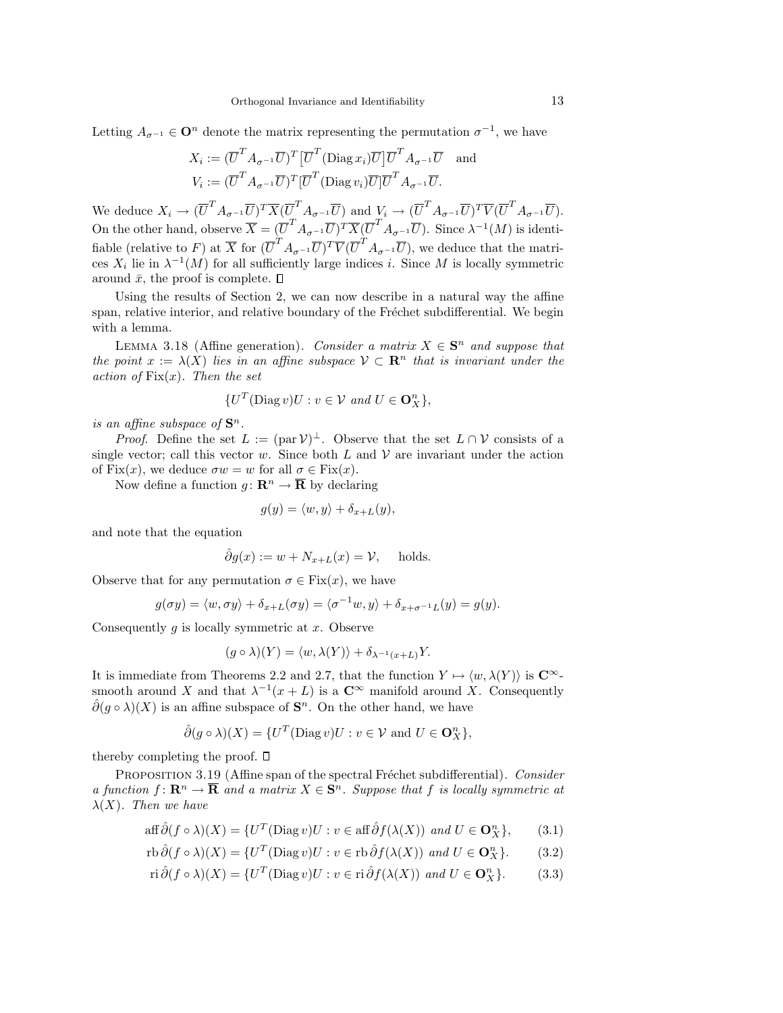Letting  $A_{\sigma^{-1}} \in \mathbf{O}^n$  denote the matrix representing the permutation  $\sigma^{-1}$ , we have

$$
X_i := (\overline{U}^T A_{\sigma^{-1}} \overline{U})^T [\overline{U}^T (\text{Diag } x_i) \overline{U}] \overline{U}^T A_{\sigma^{-1}} \overline{U} \text{ and}
$$
  

$$
V_i := (\overline{U}^T A_{\sigma^{-1}} \overline{U})^T [\overline{U}^T (\text{Diag } v_i) \overline{U}] \overline{U}^T A_{\sigma^{-1}} \overline{U}.
$$

We deduce  $X_i \to (\overline{U}^T A_{\sigma^{-1}} \overline{U})^T \overline{X} (\overline{U}^T A_{\sigma^{-1}} \overline{U})$  and  $V_i \to (\overline{U}^T A_{\sigma^{-1}} \overline{U})^T \overline{V} (\overline{U}^T A_{\sigma^{-1}} \overline{U}).$ On the other hand, observe  $\overline{X} = (\overline{U}^T A_{\sigma^{-1}} \overline{U})^T \overline{X} (\overline{U}^T A_{\sigma^{-1}} \overline{U})$ . Since  $\lambda^{-1}(M)$  is identifiable (relative to F) at  $\overline{X}$  for  $(\overline{U}^T A_{\sigma^{-1}} \overline{U})^T \overline{V} (\overline{U}^T A_{\sigma^{-1}} \overline{U})$ , we deduce that the matrices  $X_i$  lie in  $\lambda^{-1}(M)$  for all sufficiently large indices i. Since M is locally symmetric around  $\bar{x}$ , the proof is complete.  $\Box$ 

Using the results of Section 2, we can now describe in a natural way the affine span, relative interior, and relative boundary of the Fréchet subdifferential. We begin with a lemma.

LEMMA 3.18 (Affine generation). Consider a matrix  $X \in S^n$  and suppose that the point  $x := \lambda(X)$  lies in an affine subspace  $V \subset \mathbb{R}^n$  that is invariant under the action of  $Fix(x)$ . Then the set

$$
\{U^T(\text{Diag } v)U : v \in V \text{ and } U \in \mathbf{O}_X^n\},\
$$

is an affine subspace of  $\mathbf{S}^n$ .

*Proof.* Define the set  $L := (\text{par }\mathcal{V})^{\perp}$ . Observe that the set  $L \cap \mathcal{V}$  consists of a single vector; call this vector w. Since both L and  $\mathcal V$  are invariant under the action of Fix $(x)$ , we deduce  $\sigma w = w$  for all  $\sigma \in \text{Fix}(x)$ .

Now define a function  $g: \mathbb{R}^n \to \overline{\mathbb{R}}$  by declaring

$$
g(y) = \langle w, y \rangle + \delta_{x+L}(y),
$$

and note that the equation

$$
\hat{\partial}g(x) := w + N_{x+L}(x) = \mathcal{V}, \quad \text{holds.}
$$

Observe that for any permutation  $\sigma \in \text{Fix}(x)$ , we have

$$
g(\sigma y) = \langle w, \sigma y \rangle + \delta_{x+L}(\sigma y) = \langle \sigma^{-1} w, y \rangle + \delta_{x+\sigma^{-1}L}(y) = g(y).
$$

Consequently q is locally symmetric at  $x$ . Observe

$$
(g \circ \lambda)(Y) = \langle w, \lambda(Y) \rangle + \delta_{\lambda^{-1}(x+L)}Y.
$$

It is immediate from Theorems 2.2 and 2.7, that the function  $Y \mapsto \langle w, \lambda(Y) \rangle$  is  $\mathbb{C}^{\infty}$ smooth around X and that  $\lambda^{-1}(x+L)$  is a  $\mathbb{C}^\infty$  manifold around X. Consequently  $\hat{\partial}(g \circ \lambda)(X)$  is an affine subspace of  $\mathbf{S}^n$ . On the other hand, we have

$$
\hat{\partial}(g \circ \lambda)(X) = \{U^T(\text{Diag } v)U : v \in \mathcal{V} \text{ and } U \in \mathbf{O}_X^n\},\
$$

thereby completing the proof.  $\square$ 

PROPOSITION 3.19 (Affine span of the spectral Fréchet subdifferential). Consider a function  $f: \mathbf{R}^n \to \overline{\mathbf{R}}$  and a matrix  $X \in \mathbf{S}^n$ . Suppose that f is locally symmetric at  $\lambda(X)$ . Then we have

$$
\text{aff}\,\hat{\partial}(f \circ \lambda)(X) = \{U^T(\text{Diag}\,v)U : v \in \text{aff}\,\hat{\partial}f(\lambda(X)) \text{ and } U \in \mathbf{O}_X^n\},\qquad(3.1)
$$

$$
\operatorname{rb}\hat{\partial}(f\circ\lambda)(X) = \{U^T(\operatorname{Diag} v)U : v \in \operatorname{rb}\hat{\partial}f(\lambda(X)) \text{ and } U \in \mathbf{O}_X^n\}. \tag{3.2}
$$

$$
\operatorname{ri}\hat{\partial}(f\circ\lambda)(X) = \{U^T(\operatorname{Diag} v)U : v \in \operatorname{ri}\hat{\partial}f(\lambda(X)) \text{ and } U \in \mathbf{O}_X^n\}.
$$
 (3.3)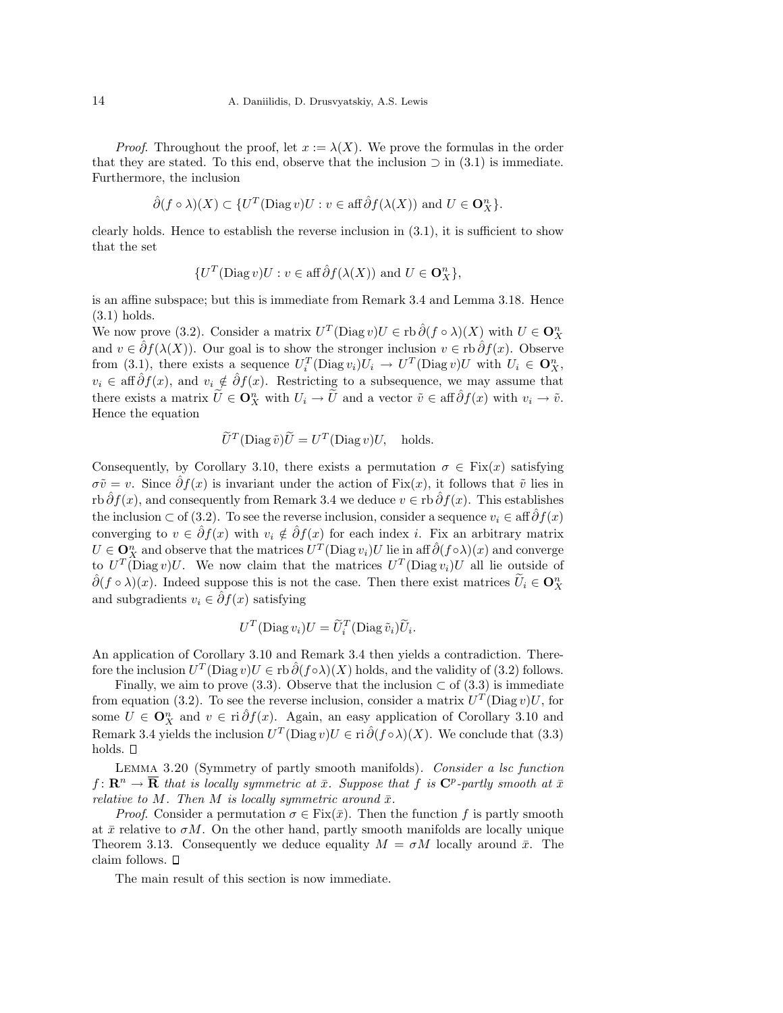*Proof.* Throughout the proof, let  $x := \lambda(X)$ . We prove the formulas in the order that they are stated. To this end, observe that the inclusion  $\supset$  in (3.1) is immediate. Furthermore, the inclusion

$$
\hat{\partial}(f \circ \lambda)(X) \subset \{U^T(\text{Diag } v)U : v \in \text{aff }\hat{\partial}f(\lambda(X)) \text{ and } U \in \mathbf{O}_X^n\}.
$$

clearly holds. Hence to establish the reverse inclusion in  $(3.1)$ , it is sufficient to show that the set

$$
\{U^T(\text{Diag }v)U: v \in \text{aff} \hat{\partial}f(\lambda(X)) \text{ and } U \in \mathbf{O}_X^n\},\
$$

is an affine subspace; but this is immediate from Remark 3.4 and Lemma 3.18. Hence (3.1) holds.

We now prove (3.2). Consider a matrix  $U^T(\text{Diag } v)U \in \text{rb } \hat{\partial}(f \circ \lambda)(X)$  with  $U \in \mathbf{O}_X^n$ and  $v \in \hat{\partial} f(\lambda(X))$ . Our goal is to show the stronger inclusion  $v \in \text{rb}\,\hat{\partial} f(x)$ . Observe from (3.1), there exists a sequence  $U_i^T(\text{Diag } v_i)U_i \to U^T(\text{Diag } v)U$  with  $U_i \in \mathbf{O}_X^n$ ,  $v_i \in \text{aff}\,\hat{\partial}f(x)$ , and  $v_i \notin \hat{\partial}f(x)$ . Restricting to a subsequence, we may assume that there exists a matrix  $\widetilde{U} \in \mathbf{O}_X^n$  with  $U_i \to \widetilde{U}$  and a vector  $\tilde{v} \in \text{aff} \widehat{\partial} f(x)$  with  $v_i \to \tilde{v}$ . Hence the equation

$$
\widetilde{U}^T(\text{Diag}\,\widetilde{v})\widetilde{U} = U^T(\text{Diag}\,v)U, \quad \text{holds.}
$$

Consequently, by Corollary 3.10, there exists a permutation  $\sigma \in \text{Fix}(x)$  satisfying  $\sigma\tilde{v} = v$ . Since  $\partial f(x)$  is invariant under the action of Fix(x), it follows that  $\tilde{v}$  lies in rb  $\hat{\partial}f(x)$ , and consequently from Remark 3.4 we deduce  $v \in$  rb  $\hat{\partial}f(x)$ . This establishes the inclusion ⊂ of (3.2). To see the reverse inclusion, consider a sequence  $v_i \in \text{aff} \,\hat{\partial} f(x)$ converging to  $v \in \hat{\partial}f(x)$  with  $v_i \notin \hat{\partial}f(x)$  for each index i. Fix an arbitrary matrix  $U \in \mathbf{Q}_{X}^{n}$  and observe that the matrices  $U^{T}(\text{Diag } v_i)U$  lie in aff  $\hat{\partial}(f \circ \lambda)(x)$  and converge to  $U^T(\text{Diag } v)U$ . We now claim that the matrices  $U^T(\text{Diag } v_i)U$  all lie outside of  $\hat{\partial}(f \circ \lambda)(x)$ . Indeed suppose this is not the case. Then there exist matrices  $\widetilde{U}_i \in \mathbf{O}_X^n$ and subgradients  $v_i \in \hat{\partial} f(x)$  satisfying

$$
U^T(\text{Diag}\,v_i)U=\widetilde{U}_i^T(\text{Diag}\,\widetilde{v}_i)\widetilde{U}_i
$$

.

An application of Corollary 3.10 and Remark 3.4 then yields a contradiction. Therefore the inclusion  $U^T(\text{Diag } v)U \in \text{rb } \hat{\partial}(f \circ \lambda)(X)$  holds, and the validity of (3.2) follows.

Finally, we aim to prove (3.3). Observe that the inclusion  $\subset$  of (3.3) is immediate from equation (3.2). To see the reverse inclusion, consider a matrix  $U<sup>T</sup>(\text{Diag } v)U$ , for some  $U \in \mathbf{O}_X^n$  and  $v \in \text{ri } \hat{\partial} f(x)$ . Again, an easy application of Corollary 3.10 and Remark 3.4 yields the inclusion  $U^T(\text{Diag } v)U \in \text{ri } \hat{\partial}(f \circ \lambda)(X)$ . We conclude that (3.3) holds.  $\square$ 

LEMMA 3.20 (Symmetry of partly smooth manifolds). Consider a lsc function  $f \colon \mathbf{R}^n \to \mathbf{\overline{R}}$  that is locally symmetric at  $\bar{x}$ . Suppose that f is  $\mathbf{C}^p$ -partly smooth at  $\bar{x}$ relative to M. Then M is locally symmetric around  $\bar{x}$ .

*Proof.* Consider a permutation  $\sigma \in Fix(\bar{x})$ . Then the function f is partly smooth at  $\bar{x}$  relative to  $\sigma M$ . On the other hand, partly smooth manifolds are locally unique Theorem 3.13. Consequently we deduce equality  $M = \sigma M$  locally around  $\bar{x}$ . The claim follows.

The main result of this section is now immediate.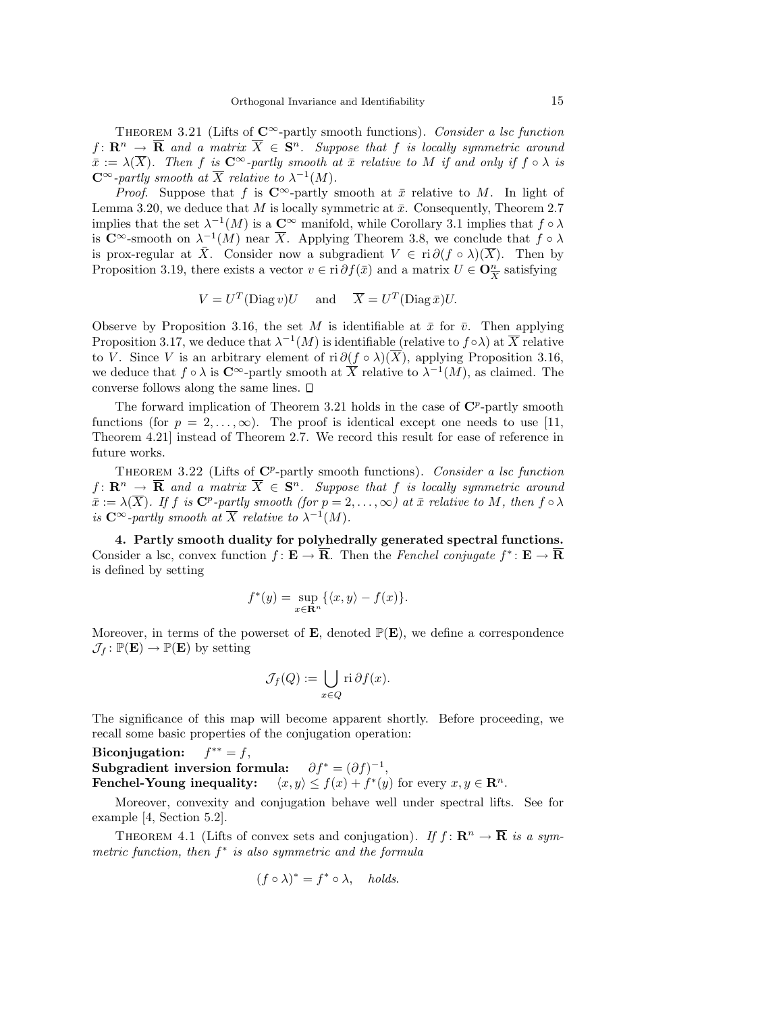THEOREM 3.21 (Lifts of  $\mathbb{C}^{\infty}$ -partly smooth functions). Consider a lsc function  $f\colon \mathbf{R}^n \to \mathbf{\overline{R}}$  and a matrix  $\overline{X} \in \mathbf{S}^n$ . Suppose that f is locally symmetric around  $\bar{x} := \lambda(\overline{X})$ . Then f is  $C^{\infty}$ -partly smooth at  $\bar{x}$  relative to M if and only if  $f \circ \lambda$  is  $\mathbb{C}^{\infty}$ -partly smooth at  $\overline{X}$  relative to  $\lambda^{-1}(M)$ .

*Proof.* Suppose that f is  $C^{\infty}$ -partly smooth at  $\bar{x}$  relative to M. In light of Lemma 3.20, we deduce that M is locally symmetric at  $\bar{x}$ . Consequently, Theorem 2.7 implies that the set  $\lambda^{-1}(M)$  is a  $\mathbb{C}^{\infty}$  manifold, while Corollary 3.1 implies that  $f \circ \lambda$ is  $\mathbb{C}^{\infty}$ -smooth on  $\lambda^{-1}(M)$  near  $\overline{X}$ . Applying Theorem 3.8, we conclude that  $f \circ \lambda$ is prox-regular at  $\bar{X}$ . Consider now a subgradient  $V \in \text{ri } \partial (f \circ \lambda)(\overline{X})$ . Then by Proposition 3.19, there exists a vector  $v \in \text{ri } \partial f(\bar{x})$  and a matrix  $U \in \mathbf{O}_{\overline{X}}^n$  satisfying

$$
V = U^T(\text{Diag } v)U \quad \text{ and } \quad \overline{X} = U^T(\text{Diag }\overline{x})U.
$$

Observe by Proposition 3.16, the set M is identifiable at  $\bar{x}$  for  $\bar{v}$ . Then applying Proposition 3.17, we deduce that  $\lambda^{-1}(M)$  is identifiable (relative to  $f \circ \lambda$ ) at  $\overline{X}$  relative to V. Since V is an arbitrary element of ri  $\partial (f \circ \lambda)(\overline{X})$ , applying Proposition 3.16, we deduce that  $f \circ \lambda$  is  $\mathbb{C}^{\infty}$ -partly smooth at  $\overline{X}$  relative to  $\lambda^{-1}(M)$ , as claimed. The converse follows along the same lines.

The forward implication of Theorem 3.21 holds in the case of  $\mathbb{C}^p$ -partly smooth functions (for  $p = 2, \ldots, \infty$ ). The proof is identical except one needs to use [11, Theorem 4.21] instead of Theorem 2.7. We record this result for ease of reference in future works.

THEOREM 3.22 (Lifts of  $\mathbb{C}^p$ -partly smooth functions). Consider a lsc function  $f\colon \mathbf{R}^n \to \overline{\mathbf{R}}$  and a matrix  $\overline{X} \in \mathbf{S}^n$ . Suppose that f is locally symmetric around  $\bar{x} := \lambda(\overline{X})$ . If f is  $\mathbb{C}^p$ -partly smooth (for  $p = 2, \ldots, \infty$ ) at  $\bar{x}$  relative to M, then  $f \circ \lambda$ is  $C^{\infty}$ -partly smooth at  $\overline{X}$  relative to  $\lambda^{-1}(M)$ .

4. Partly smooth duality for polyhedrally generated spectral functions. Consider a lsc, convex function  $f: \mathbf{E} \to \overline{\mathbf{R}}$ . Then the Fenchel conjugate  $f^* \colon \mathbf{E} \to \overline{\mathbf{R}}$ is defined by setting

$$
f^*(y) = \sup_{x \in \mathbf{R}^n} \{ \langle x, y \rangle - f(x) \}.
$$

Moreover, in terms of the powerset of **E**, denoted  $\mathbb{P}(\mathbf{E})$ , we define a correspondence  $\mathcal{J}_f : \mathbb{P}(\mathbf{E}) \to \mathbb{P}(\mathbf{E})$  by setting

$$
\mathcal{J}_f(Q) := \bigcup_{x \in Q} \text{ri}\,\partial f(x).
$$

The significance of this map will become apparent shortly. Before proceeding, we recall some basic properties of the conjugation operation:

Biconjugation:  $f^{**} = f$ , Subgradient inversion formula:  $\partial f^* = (\partial f)^{-1}$ , Fenchel-Young inequality: \* $(y)$  for every  $x, y \in \mathbb{R}^n$ .

Moreover, convexity and conjugation behave well under spectral lifts. See for example [4, Section 5.2].

THEOREM 4.1 (Lifts of convex sets and conjugation). If  $f: \mathbb{R}^n \to \overline{\mathbb{R}}$  is a symmetric function, then  $f^*$  is also symmetric and the formula

$$
(f \circ \lambda)^* = f^* \circ \lambda
$$
, holds.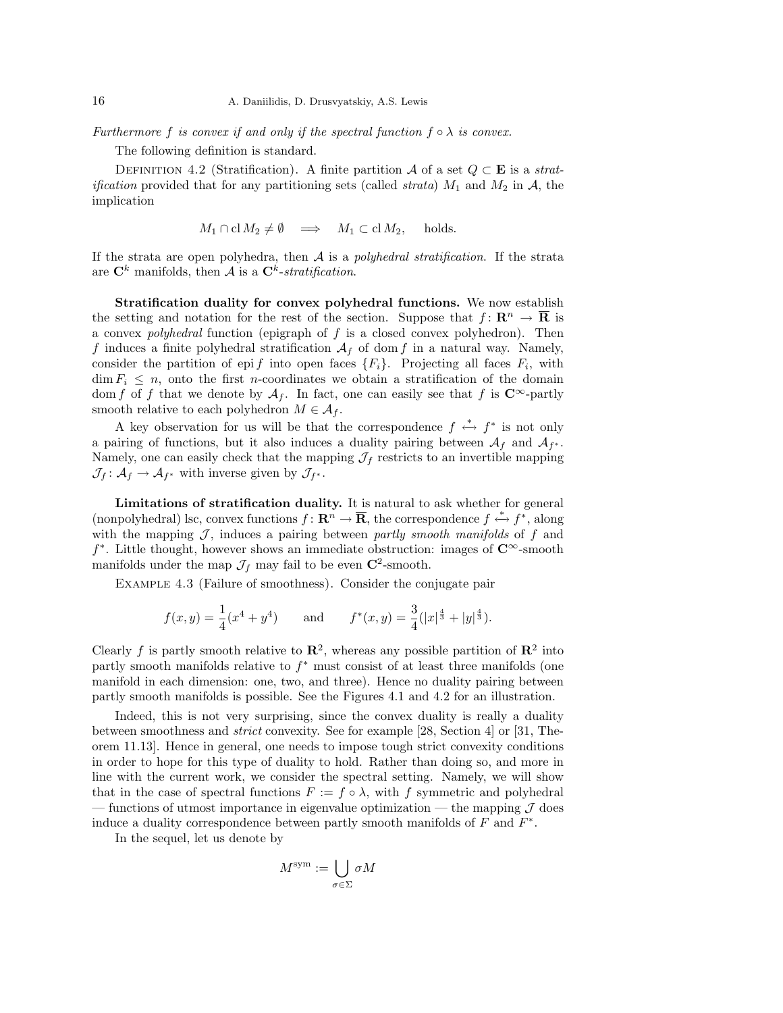Furthermore f is convex if and only if the spectral function  $f \circ \lambda$  is convex.

The following definition is standard.

DEFINITION 4.2 (Stratification). A finite partition A of a set  $Q \subset \mathbf{E}$  is a strat*ification* provided that for any partitioning sets (called *strata*)  $M_1$  and  $M_2$  in  $A$ , the implication

$$
M_1 \cap \text{cl } M_2 \neq \emptyset \implies M_1 \subset \text{cl } M_2
$$
, holds.

If the strata are open polyhedra, then  $A$  is a polyhedral stratification. If the strata are  $\mathbf{C}^k$  manifolds, then A is a  $\mathbf{C}^k$ -stratification.

Stratification duality for convex polyhedral functions. We now establish the setting and notation for the rest of the section. Suppose that  $f: \mathbb{R}^n \to \mathbb{R}$  is a convex *polyhedral* function (epigraph of  $f$  is a closed convex polyhedron). Then f induces a finite polyhedral stratification  $A_f$  of dom f in a natural way. Namely, consider the partition of epi f into open faces  $\{F_i\}$ . Projecting all faces  $F_i$ , with  $\dim F_i \leq n$ , onto the first *n*-coordinates we obtain a stratification of the domain dom f of f that we denote by  $A_f$ . In fact, one can easily see that f is  $\mathbb{C}^{\infty}$ -partly smooth relative to each polyhedron  $M \in \mathcal{A}_f$ .

A key observation for us will be that the correspondence  $f \stackrel{*}{\leftrightarrow} f^*$  is not only a pairing of functions, but it also induces a duality pairing between  $\mathcal{A}_f$  and  $\mathcal{A}_{f^*}$ . Namely, one can easily check that the mapping  $\mathcal{J}_f$  restricts to an invertible mapping  $\mathcal{J}_f: \mathcal{A}_f \to \mathcal{A}_{f^*}$  with inverse given by  $\mathcal{J}_{f^*}.$ 

Limitations of stratification duality. It is natural to ask whether for general (nonpolyhedral) lsc, convex functions  $f: \mathbb{R}^n \to \overline{\mathbb{R}}$ , the correspondence  $f \stackrel{*}{\leftrightarrow} f^*$ , along with the mapping  $J$ , induces a pairing between partly smooth manifolds of  $f$  and  $f^*$ . Little thought, however shows an immediate obstruction: images of  $\mathbb{C}^{\infty}$ -smooth manifolds under the map  $\mathcal{J}_f$  may fail to be even  $\mathbb{C}^2$ -smooth.

Example 4.3 (Failure of smoothness). Consider the conjugate pair

$$
f(x,y) = \frac{1}{4}(x^4 + y^4)
$$
 and  $f^*(x,y) = \frac{3}{4}(|x|^{\frac{4}{3}} + |y|^{\frac{4}{3}}).$ 

Clearly f is partly smooth relative to  $\mathbb{R}^2$ , whereas any possible partition of  $\mathbb{R}^2$  into partly smooth manifolds relative to  $f^*$  must consist of at least three manifolds (one manifold in each dimension: one, two, and three). Hence no duality pairing between partly smooth manifolds is possible. See the Figures 4.1 and 4.2 for an illustration.

Indeed, this is not very surprising, since the convex duality is really a duality between smoothness and strict convexity. See for example [28, Section 4] or [31, Theorem 11.13]. Hence in general, one needs to impose tough strict convexity conditions in order to hope for this type of duality to hold. Rather than doing so, and more in line with the current work, we consider the spectral setting. Namely, we will show that in the case of spectral functions  $F := f \circ \lambda$ , with f symmetric and polyhedral — functions of utmost importance in eigenvalue optimization — the mapping  $\mathcal J$  does induce a duality correspondence between partly smooth manifolds of  $F$  and  $F^*$ .

In the sequel, let us denote by

$$
M^{\text{sym}} := \bigcup_{\sigma \in \Sigma} \sigma M
$$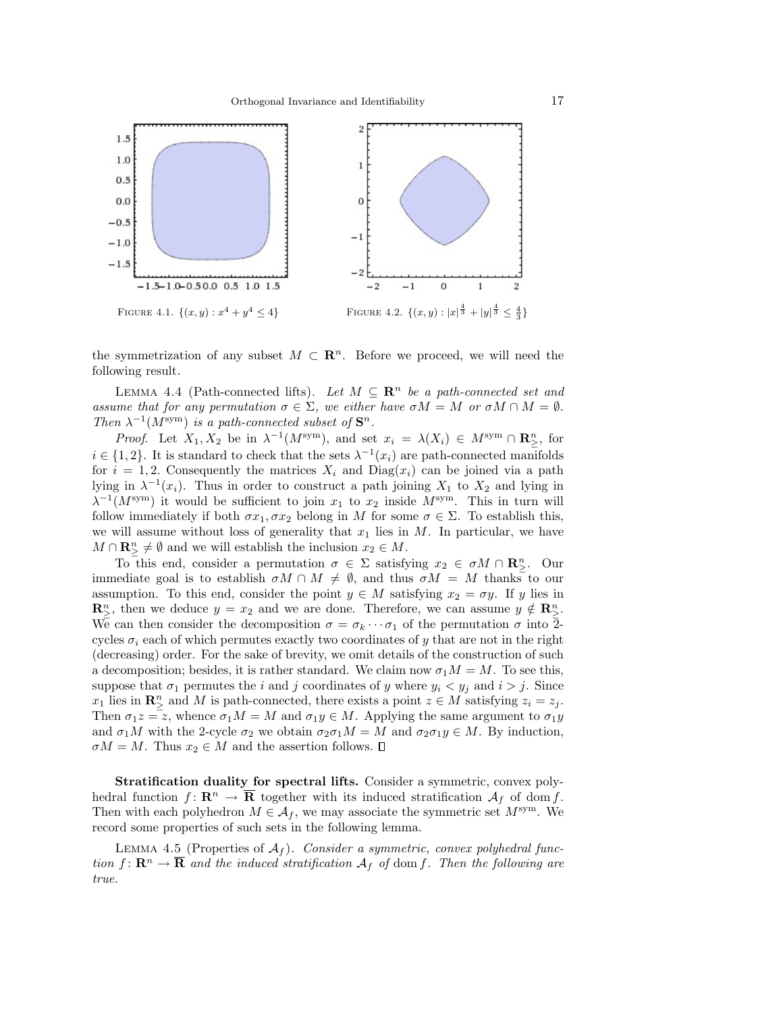

the symmetrization of any subset  $M \subset \mathbb{R}^n$ . Before we proceed, we will need the following result.

LEMMA 4.4 (Path-connected lifts). Let  $M \subseteq \mathbb{R}^n$  be a path-connected set and assume that for any permutation  $\sigma \in \Sigma$ , we either have  $\sigma M = M$  or  $\sigma M \cap M = \emptyset$ . Then  $\lambda^{-1}(M^{\text{sym}})$  is a path-connected subset of  $\mathbf{S}^n$ .

*Proof.* Let  $X_1, X_2$  be in  $\lambda^{-1}(M^{\text{sym}})$ , and set  $x_i = \lambda(X_i) \in M^{\text{sym}} \cap \mathbb{R}^n$ , for  $i \in \{1, 2\}$ . It is standard to check that the sets  $\lambda^{-1}(x_i)$  are path-connected manifolds for  $i = 1, 2$ . Consequently the matrices  $X_i$  and  $Diag(x_i)$  can be joined via a path lying in  $\lambda^{-1}(x_i)$ . Thus in order to construct a path joining  $X_1$  to  $X_2$  and lying in  $\lambda^{-1}(M^{\text{sym}})$  it would be sufficient to join  $x_1$  to  $x_2$  inside  $M^{\text{sym}}$ . This in turn will follow immediately if both  $\sigma x_1, \sigma x_2$  belong in M for some  $\sigma \in \Sigma$ . To establish this, we will assume without loss of generality that  $x_1$  lies in  $M$ . In particular, we have  $M \cap \mathbf{R}_{\geq}^n \neq \emptyset$  and we will establish the inclusion  $x_2 \in M$ .

To this end, consider a permutation  $\sigma \in \Sigma$  satisfying  $x_2 \in \sigma M \cap \mathbb{R}^n_{\geq}$ . Our immediate goal is to establish  $\sigma M \cap M \neq \emptyset$ , and thus  $\sigma M = M$  thanks to our assumption. To this end, consider the point  $y \in M$  satisfying  $x_2 = \sigma y$ . If y lies in  $\mathbb{R}^n_{\geq}$ , then we deduce  $y = x_2$  and we are done. Therefore, we can assume  $y \notin \mathbb{R}^n_{\geq}$ . We can then consider the decomposition  $\sigma = \sigma_k \cdots \sigma_1$  of the permutation  $\sigma$  into  $\overline{2}$ cycles  $\sigma_i$  each of which permutes exactly two coordinates of y that are not in the right (decreasing) order. For the sake of brevity, we omit details of the construction of such a decomposition; besides, it is rather standard. We claim now  $\sigma_1 M = M$ . To see this, suppose that  $\sigma_1$  permutes the i and j coordinates of y where  $y_i < y_j$  and  $i > j$ . Since  $x_1$  lies in  $\mathbb{R}^n_{\geq}$  and M is path-connected, there exists a point  $z \in M$  satisfying  $z_i = z_j$ . Then  $\sigma_1 z = z$ , whence  $\sigma_1 M = M$  and  $\sigma_1 y \in M$ . Applying the same argument to  $\sigma_1 y$ and  $\sigma_1 M$  with the 2-cycle  $\sigma_2$  we obtain  $\sigma_2 \sigma_1 M = M$  and  $\sigma_2 \sigma_1 y \in M$ . By induction,  $\sigma M = M$ . Thus  $x_2 \in M$  and the assertion follows.  $\square$ 

Stratification duality for spectral lifts. Consider a symmetric, convex polyhedral function  $f: \mathbf{R}^n \to \mathbf{\overline{R}}$  together with its induced stratification  $\mathcal{A}_f$  of dom f. Then with each polyhedron  $M \in \mathcal{A}_f$ , we may associate the symmetric set  $M^{\text{sym}}$ . We record some properties of such sets in the following lemma.

LEMMA 4.5 (Properties of  $A_f$ ). Consider a symmetric, convex polyhedral function  $f: \mathbb{R}^n \to \overline{\mathbb{R}}$  and the induced stratification  $A_f$  of dom f. Then the following are true.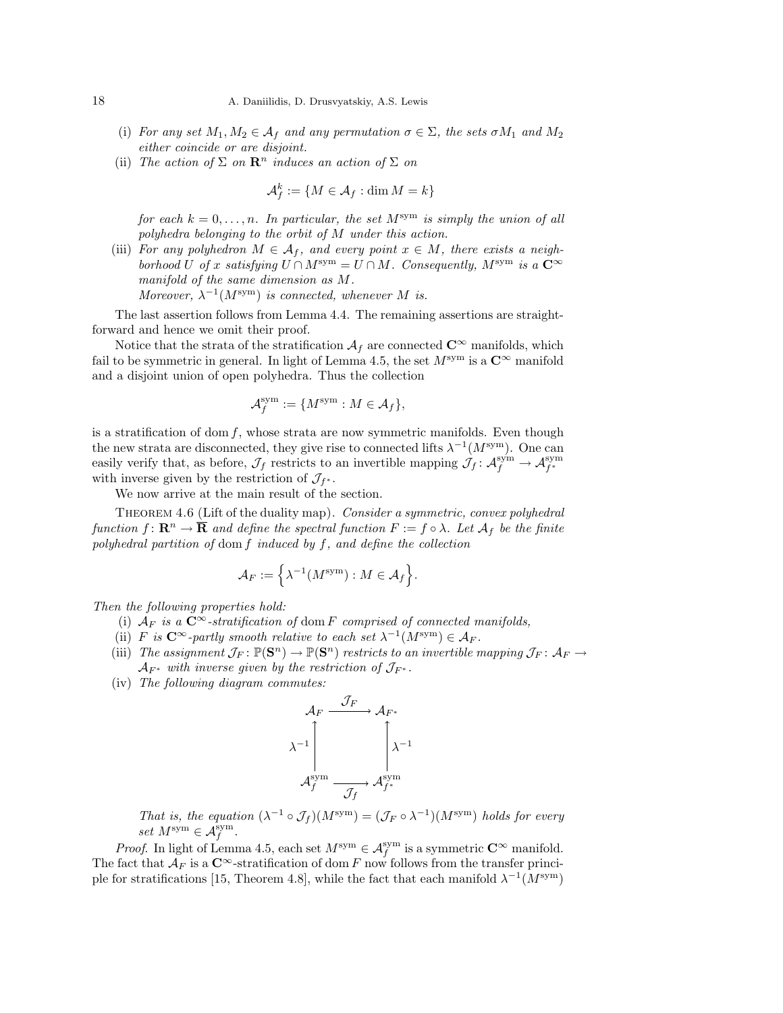- (i) For any set  $M_1, M_2 \in \mathcal{A}_f$  and any permutation  $\sigma \in \Sigma$ , the sets  $\sigma M_1$  and  $M_2$ either coincide or are disjoint.
- (ii) The action of  $\Sigma$  on  $\mathbb{R}^n$  induces an action of  $\Sigma$  on

$$
\mathcal{A}_f^k:=\{M\in\mathcal{A}_f:\dim M=k\}
$$

for each  $k = 0, \ldots, n$ . In particular, the set  $M^{sym}$  is simply the union of all polyhedra belonging to the orbit of M under this action.

(iii) For any polyhedron  $M \in \mathcal{A}_f$ , and every point  $x \in M$ , there exists a neighborhood U of x satisfying  $U \cap M^{sym} = U \cap M$ . Consequently,  $M^{sym}$  is a  $\mathbb{C}^{\infty}$ manifold of the same dimension as M.

Moreover,  $\lambda^{-1}(M^{\text{sym}})$  is connected, whenever M is.

The last assertion follows from Lemma 4.4. The remaining assertions are straightforward and hence we omit their proof.

Notice that the strata of the stratification  $A_f$  are connected  $\mathbb{C}^\infty$  manifolds, which fail to be symmetric in general. In light of Lemma 4.5, the set  $M^{\rm sym}$  is a  $\mathbb{C}^{\infty}$  manifold and a disjoint union of open polyhedra. Thus the collection

$$
\mathcal{A}_f^{\text{sym}} := \{ M^{\text{sym}} : M \in \mathcal{A}_f \},
$$

is a stratification of dom  $f$ , whose strata are now symmetric manifolds. Even though the new strata are disconnected, they give rise to connected lifts  $\lambda^{-1}(M^{\text{sym}})$ . One can easily verify that, as before,  $\mathcal{J}_f$  restricts to an invertible mapping  $\mathcal{J}_f: \mathcal{A}_f^{sym} \to \mathcal{A}_{f^*}^{sym}$ with inverse given by the restriction of  $\mathcal{J}_{f^*}$ .

We now arrive at the main result of the section.

THEOREM 4.6 (Lift of the duality map). Consider a symmetric, convex polyhedral function  $f: \mathbf{R}^n \to \overline{\mathbf{R}}$  and define the spectral function  $F := f \circ \lambda$ . Let  $\mathcal{A}_f$  be the finite polyhedral partition of dom f induced by f, and define the collection

$$
\mathcal{A}_F:=\Big\{\lambda^{-1}(M^{\text{\rm sym}}): M\in\mathcal{A}_f\Big\}.
$$

Then the following properties hold:

- (i)  $A_F$  is a  $\mathbb{C}^\infty$ -stratification of dom F comprised of connected manifolds,
- (ii) F is  $C^{\infty}$ -partly smooth relative to each set  $\lambda^{-1}(M^{\text{sym}}) \in \mathcal{A}_F$ .
- (iii) The assignment  $\mathcal{J}_F \colon \mathbb{P}(\mathbf{S}^n) \to \mathbb{P}(\mathbf{S}^n)$  restricts to an invertible mapping  $\mathcal{J}_F \colon \mathcal{A}_F \to$  $\mathcal{A}_{F^*}$  with inverse given by the restriction of  $\mathcal{J}_{F^*}$ .
- (iv) The following diagram commutes:

$$
\mathcal{A}_{F} \xrightarrow{\mathcal{J}_{F}} \mathcal{A}_{F^{*}} \longrightarrow \mathcal{A}_{F^{*}} \longrightarrow \mathcal{A}_{f}^{\text{sym}} \longrightarrow \mathcal{A}_{f}^{\text{sym}} \longrightarrow \mathcal{A}_{f^{*}}^{\text{sym}}
$$

That is, the equation  $(\lambda^{-1} \circ \mathcal{J}_f)(M^{\text{sym}}) = (\mathcal{J}_F \circ \lambda^{-1})(M^{\text{sym}})$  holds for every set  $M^{\text{sym}} \in \mathcal{A}_f^{\text{sym}}$ .

*Proof.* In light of Lemma 4.5, each set  $M^{sym} \in \mathcal{A}_f^{sym}$  is a symmetric  $\mathbb{C}^\infty$  manifold. The fact that  $\mathcal{A}_F$  is a  $\mathbb{C}^\infty$ -stratification of dom F now follows from the transfer principle for stratifications [15, Theorem 4.8], while the fact that each manifold  $\lambda^{-1}(M^{\text{sym}})$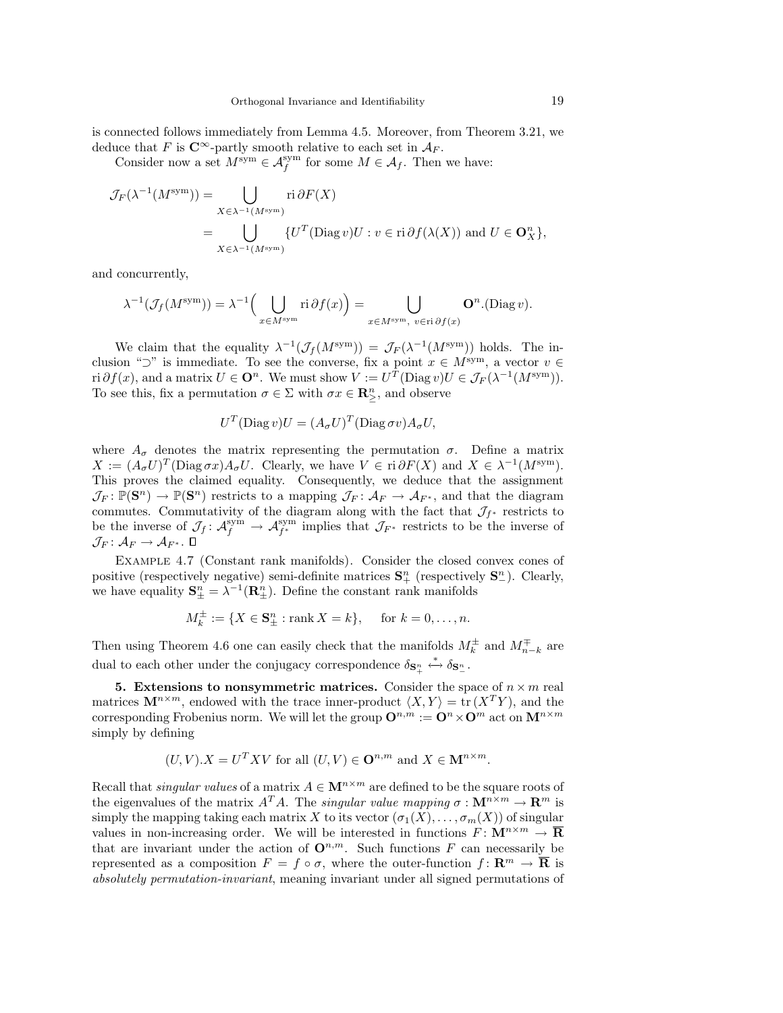is connected follows immediately from Lemma 4.5. Moreover, from Theorem 3.21, we deduce that F is  $\mathbb{C}^{\infty}$ -partly smooth relative to each set in  $\mathcal{A}_F$ .

Consider now a set  $M^{\text{sym}} \in \mathcal{A}_f^{\text{sym}}$  for some  $M \in \mathcal{A}_f$ . Then we have:

$$
\mathcal{J}_F(\lambda^{-1}(M^{\text{sym}})) = \bigcup_{X \in \lambda^{-1}(M^{\text{sym}})} \text{ri } \partial F(X)
$$
  
= 
$$
\bigcup_{X \in \lambda^{-1}(M^{\text{sym}})} \{U^T(\text{Diag } v)U : v \in \text{ri } \partial f(\lambda(X)) \text{ and } U \in \mathbf{O}_X^n\},
$$

and concurrently,

$$
\lambda^{-1}(\mathcal{J}_f(M^{\text{sym}})) = \lambda^{-1}\Big(\bigcup_{x \in M^{\text{sym}}} \text{ri}\,\partial f(x)\Big) = \bigcup_{x \in M^{\text{sym}},\ v \in \text{ri}\,\partial f(x)} \mathbf{O}^n.(\text{Diag}\,v).
$$

We claim that the equality  $\lambda^{-1}(\mathcal{J}_f(M^{\text{sym}})) = \mathcal{J}_F(\lambda^{-1}(M^{\text{sym}}))$  holds. The inclusion "⊃" is immediate. To see the converse, fix a point  $x \in M^{sym}$ , a vector  $v \in$ ri  $\partial f(x)$ , and a matrix  $U \in \mathbf{O}^n$ . We must show  $V := U^T(\text{Diag } v)U \in \mathcal{J}_F(\lambda^{-1}(M^{\text{sym}}))$ . To see this, fix a permutation  $\sigma \in \Sigma$  with  $\sigma x \in \mathbb{R}^n_{\geq}$ , and observe

$$
U^T(\text{Diag}\,v)U = (A_{\sigma}U)^T(\text{Diag}\,\sigma v)A_{\sigma}U,
$$

where  $A_{\sigma}$  denotes the matrix representing the permutation  $\sigma$ . Define a matrix  $X := (A_{\sigma}U)^{T}(\text{Diag}\,\sigma x)A_{\sigma}U$ . Clearly, we have  $V \in \text{ri}\,\partial F(X)$  and  $X \in \lambda^{-1}(M^{\text{sym}})$ . This proves the claimed equality. Consequently, we deduce that the assignment  $\mathcal{J}_F\colon \mathbb{P}(\mathbf{S}^n) \to \mathbb{P}(\mathbf{S}^n)$  restricts to a mapping  $\mathcal{J}_F\colon \mathcal{A}_F \to \mathcal{A}_{F^*}$ , and that the diagram commutes. Commutativity of the diagram along with the fact that  $\mathcal{J}_{f^*}$  restricts to be the inverse of  $\mathcal{J}_f: \mathcal{A}_f^{\text{sym}} \to \mathcal{A}_{f^*}^{\text{sym}}$  implies that  $\mathcal{J}_{F^*}$  restricts to be the inverse of  $\mathcal{J}_F\colon \mathcal{A}_F\to \mathcal{A}_{F^*}.$   $\Box$ 

Example 4.7 (Constant rank manifolds). Consider the closed convex cones of positive (respectively negative) semi-definite matrices  $S^n_+$  (respectively  $S^n_-$ ). Clearly, we have equality  $S_{\pm}^n = \lambda^{-1}(\mathbf{R}_{\pm}^n)$ . Define the constant rank manifolds

$$
M_k^{\pm} := \{ X \in \mathbf{S}_{\pm}^n : \text{rank } X = k \}, \text{ for } k = 0, \dots, n.
$$

Then using Theorem 4.6 one can easily check that the manifolds  $M_k^{\pm}$  and  $M_{n-k}^{\mp}$  are dual to each other under the conjugacy correspondence  $\delta_{\mathbf{S}_{+}^{n}} \xleftrightarrow^* \delta_{\mathbf{S}_{-}^{n}}$ .

5. Extensions to nonsymmetric matrices. Consider the space of  $n \times m$  real matrices  $\mathbf{M}^{n \times m}$ , endowed with the trace inner-product  $\langle X, Y \rangle = \text{tr} (X^T Y)$ , and the corresponding Frobenius norm. We will let the group  $\mathbf{O}^{n,m} := \mathbf{O}^n \times \mathbf{O}^m$  act on  $\mathbf{M}^{n \times m}$ simply by defining

$$
(U, V).X = UT X V
$$
 for all  $(U, V) \in \mathbf{O}^{n,m}$  and  $X \in \mathbf{M}^{n \times m}$ .

Recall that *singular values* of a matrix  $A \in \mathbf{M}^{n \times m}$  are defined to be the square roots of the eigenvalues of the matrix  $A^T A$ . The *singular value mapping*  $\sigma : \mathbf{M}^{n \times m} \to \mathbf{R}^m$  is simply the mapping taking each matrix X to its vector  $(\sigma_1(X), \ldots, \sigma_m(X))$  of singular values in non-increasing order. We will be interested in functions  $F: \mathbf{M}^{n \times m} \to \mathbf{R}$ that are invariant under the action of  $\mathbf{O}^{n,m}$ . Such functions F can necessarily be represented as a composition  $F = f \circ \sigma$ , where the outer-function  $f: \mathbb{R}^m \to \overline{\mathbb{R}}$  is absolutely permutation-invariant, meaning invariant under all signed permutations of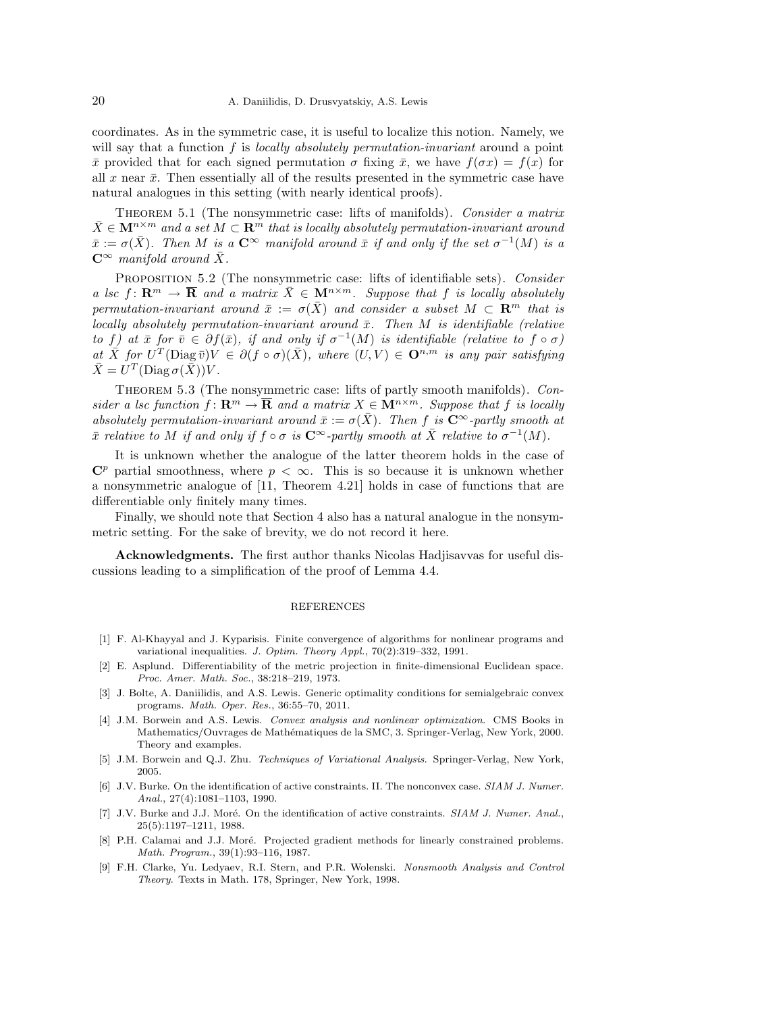coordinates. As in the symmetric case, it is useful to localize this notion. Namely, we will say that a function  $f$  is *locally absolutely permutation-invariant* around a point  $\bar{x}$  provided that for each signed permutation  $\sigma$  fixing  $\bar{x}$ , we have  $f(\sigma x) = f(x)$  for all x near  $\bar{x}$ . Then essentially all of the results presented in the symmetric case have natural analogues in this setting (with nearly identical proofs).

THEOREM 5.1 (The nonsymmetric case: lifts of manifolds). Consider a matrix  $\bar{X} \in \mathbf{M}^{n \times m}$  and a set  $M \subset \mathbf{R}^m$  that is locally absolutely permutation-invariant around  $\bar{x} := \sigma(\bar{X})$ . Then M is a  $\mathbb{C}^{\infty}$  manifold around  $\bar{x}$  if and only if the set  $\sigma^{-1}(M)$  is a  $C^{\infty}$  manifold around  $\bar{X}$ .

PROPOSITION 5.2 (The nonsymmetric case: lifts of identifiable sets). Consider a lsc f:  $\mathbf{R}^m \to \mathbf{\overline{R}}$  and a matrix  $\bar{X} \in \mathbf{M}^{n \times m}$ . Suppose that f is locally absolutely permutation-invariant around  $\bar{x} := \sigma(\bar{X})$  and consider a subset  $M \subset \mathbb{R}^m$  that is locally absolutely permutation-invariant around  $\bar{x}$ . Then M is identifiable (relative to f) at  $\bar{x}$  for  $\bar{v} \in \partial f(\bar{x})$ , if and only if  $\sigma^{-1}(M)$  is identifiable (relative to  $f \circ \sigma$ ) at  $\overline{X}$  for  $U^T(\text{Diag}\,\overline{v})V \in \partial (f \circ \sigma)(\overline{X})$ , where  $(U,V) \in \mathbf{O}^{n,m}$  is any pair satisfying  $\bar{X} = U^T(\text{Diag}\,\sigma(\bar{\bar{X}}))V.$ 

THEOREM 5.3 (The nonsymmetric case: lifts of partly smooth manifolds). Consider a lsc function  $f: \mathbf{R}^m \to \overline{\mathbf{R}}$  and a matrix  $X \in \mathbf{M}^{n \times m}$ . Suppose that f is locally absolutely permutation-invariant around  $\bar{x} := \sigma(\bar{X})$ . Then f is  $\mathbb{C}^{\infty}$ -partly smooth at  $\bar{x}$  relative to M if and only if  $f \circ \sigma$  is  $C^{\infty}$ -partly smooth at  $\bar{X}$  relative to  $\sigma^{-1}(M)$ .

It is unknown whether the analogue of the latter theorem holds in the case of  $\mathbb{C}^p$  partial smoothness, where  $p < \infty$ . This is so because it is unknown whether a nonsymmetric analogue of [11, Theorem 4.21] holds in case of functions that are differentiable only finitely many times.

Finally, we should note that Section 4 also has a natural analogue in the nonsymmetric setting. For the sake of brevity, we do not record it here.

Acknowledgments. The first author thanks Nicolas Hadjisavvas for useful discussions leading to a simplification of the proof of Lemma 4.4.

## REFERENCES

- [1] F. Al-Khayyal and J. Kyparisis. Finite convergence of algorithms for nonlinear programs and variational inequalities. J. Optim. Theory Appl., 70(2):319–332, 1991.
- [2] E. Asplund. Differentiability of the metric projection in finite-dimensional Euclidean space. Proc. Amer. Math. Soc., 38:218–219, 1973.
- [3] J. Bolte, A. Daniilidis, and A.S. Lewis. Generic optimality conditions for semialgebraic convex programs. Math. Oper. Res., 36:55–70, 2011.
- [4] J.M. Borwein and A.S. Lewis. Convex analysis and nonlinear optimization. CMS Books in Mathematics/Ouvrages de Mathématiques de la SMC, 3. Springer-Verlag, New York, 2000. Theory and examples.
- [5] J.M. Borwein and Q.J. Zhu. Techniques of Variational Analysis. Springer-Verlag, New York, 2005.
- [6] J.V. Burke. On the identification of active constraints. II. The nonconvex case. SIAM J. Numer. Anal., 27(4):1081–1103, 1990.
- [7] J.V. Burke and J.J. Moré. On the identification of active constraints. SIAM J. Numer. Anal., 25(5):1197–1211, 1988.
- [8] P.H. Calamai and J.J. Moré. Projected gradient methods for linearly constrained problems. Math. Program., 39(1):93–116, 1987.
- [9] F.H. Clarke, Yu. Ledyaev, R.I. Stern, and P.R. Wolenski. Nonsmooth Analysis and Control Theory. Texts in Math. 178, Springer, New York, 1998.